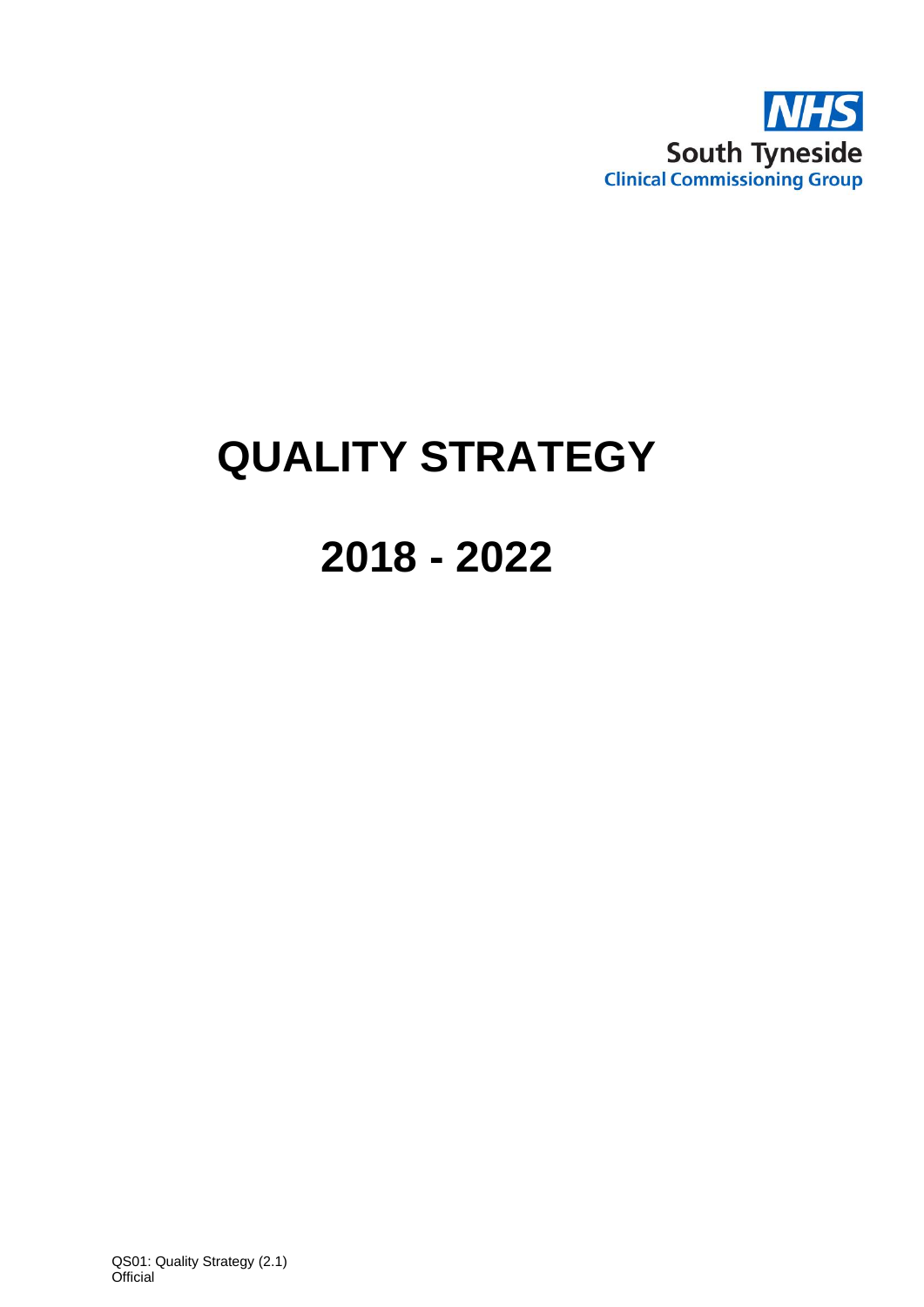

# **QUALITY STRATEGY**

# **2018 - 2022**

QS01: Quality Strategy (2.1) **Official**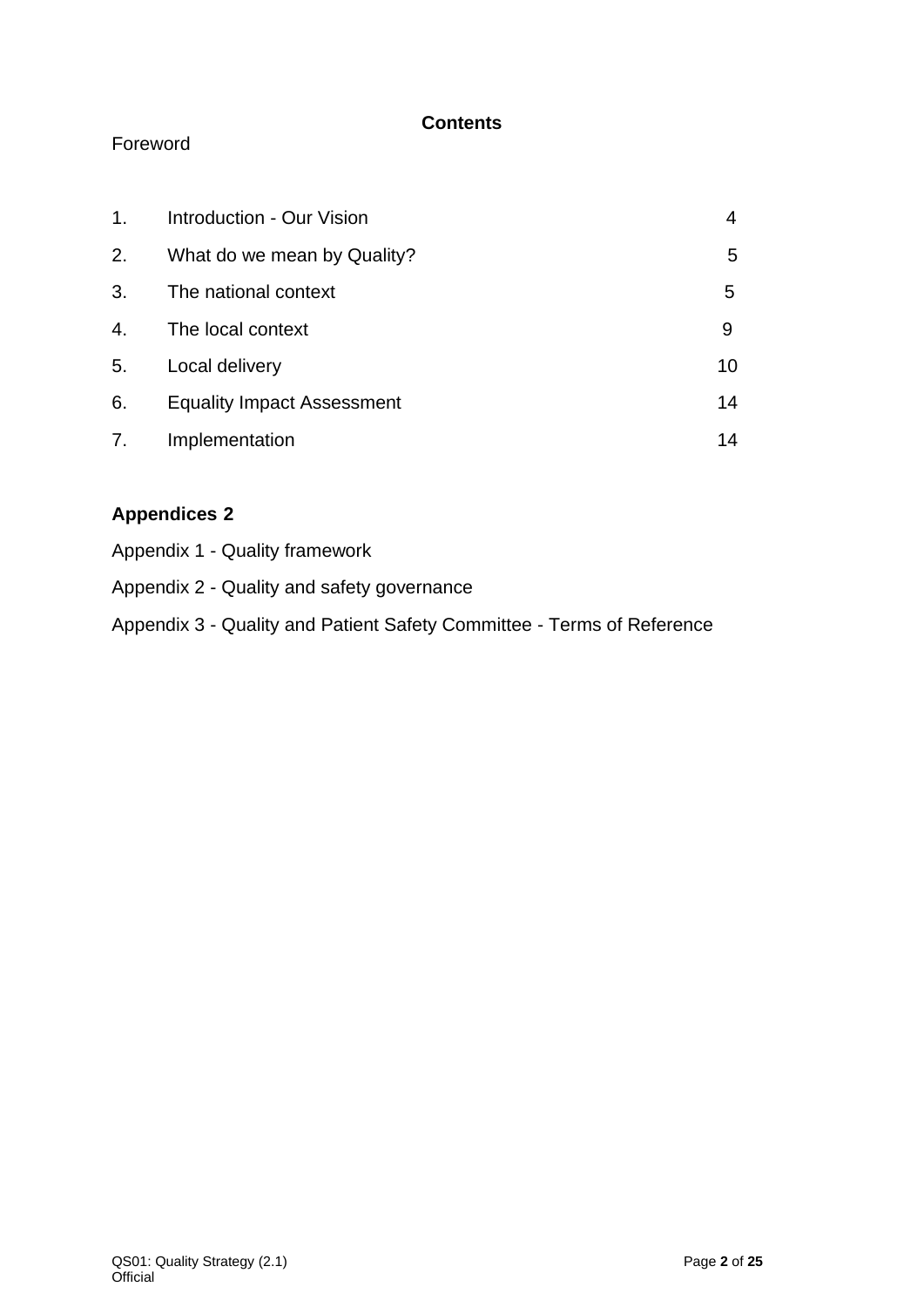# **Contents**

# Foreword

| 1. | <b>Introduction - Our Vision</b>  |    |
|----|-----------------------------------|----|
| 2. | What do we mean by Quality?       | 5  |
| 3. | The national context              | 5  |
| 4. | The local context                 | 9  |
| 5. | Local delivery                    | 10 |
| 6. | <b>Equality Impact Assessment</b> | 14 |
| 7. | Implementation                    | 14 |

# **Appendices 2**

| Appendix 1 - Quality framework                                         |
|------------------------------------------------------------------------|
| Appendix 2 - Quality and safety governance                             |
| Appendix 3 - Quality and Patient Safety Committee - Terms of Reference |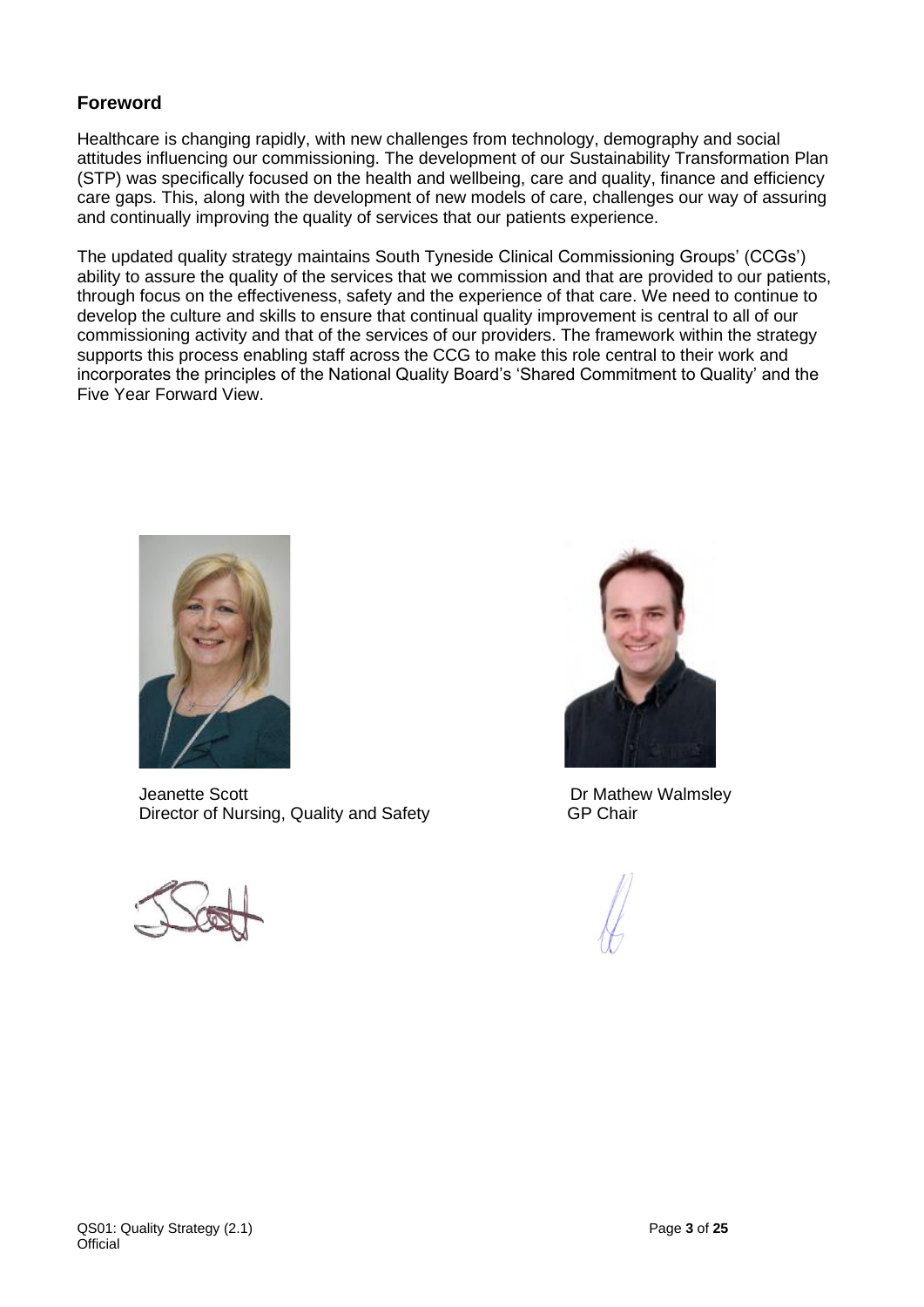#### **Foreword**

Healthcare is changing rapidly, with new challenges from technology, demography and social attitudes influencing our commissioning. The development of our Sustainability Transformation Plan (STP) was specifically focused on the health and wellbeing, care and quality, finance and efficiency care gaps. This, along with the development of new models of care, challenges our way of assuring and continually improving the quality of services that our patients experience.

The updated quality strategy maintains South Tyneside Clinical Commissioning Groups' (CCGs') ability to assure the quality of the services that we commission and that are provided to our patients, through focus on the effectiveness, safety and the experience of that care. We need to continue to develop the culture and skills to ensure that continual quality improvement is central to all of our commissioning activity and that of the services of our providers. The framework within the strategy supports this process enabling staff across the CCG to make this role central to their work and incorporates the principles of the National Quality Board's 'Shared Commitment to Quality' and the Five Year Forward View.



Jeanette Scott<br>Dr Mathew Walmsley<br>Director of Nursing, Quality and Safety<br>GP Chair Director of Nursing, Quality and Safety



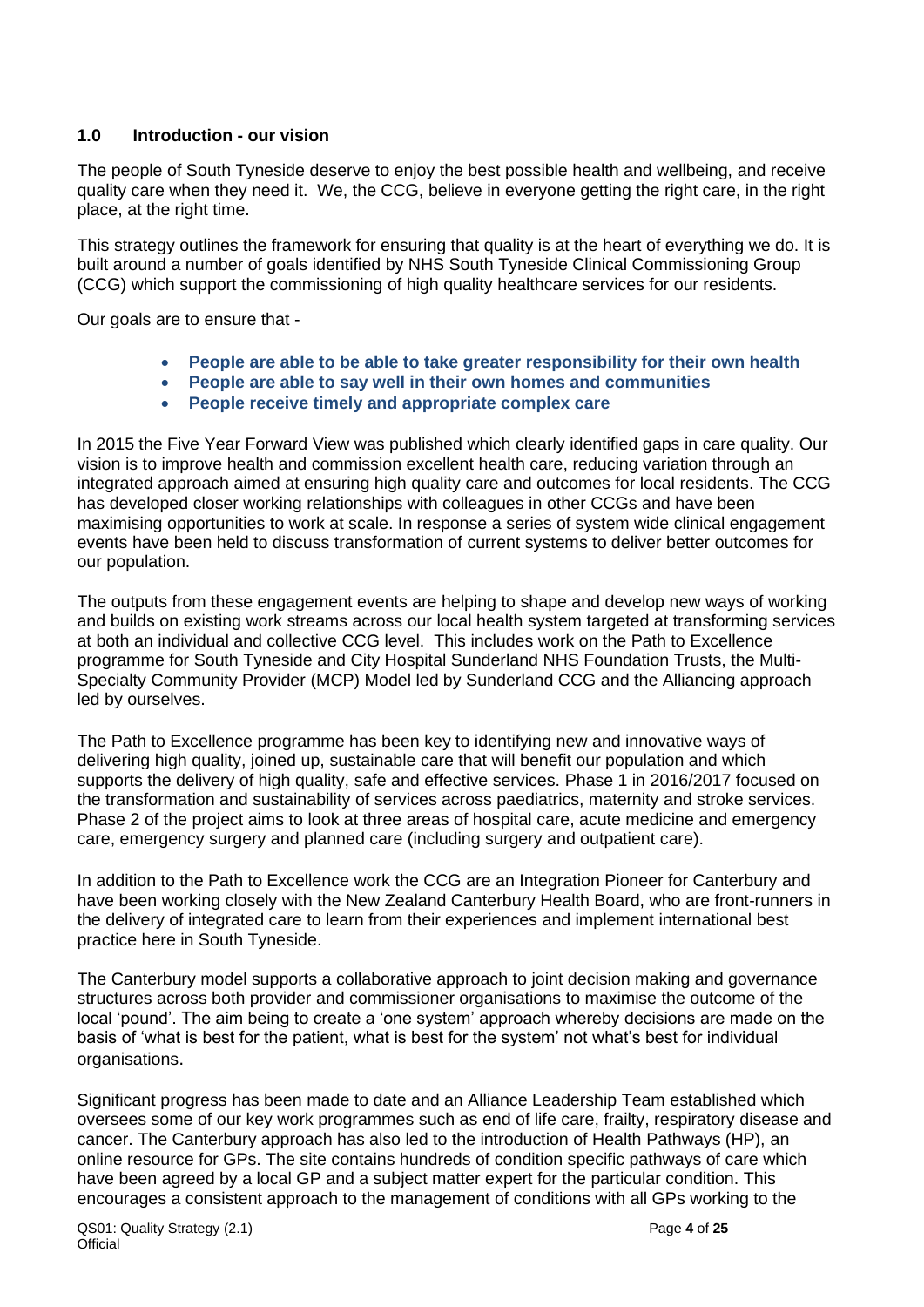#### **1.0 Introduction - our vision**

The people of South Tyneside deserve to enjoy the best possible health and wellbeing, and receive quality care when they need it. We, the CCG, believe in everyone getting the right care, in the right place, at the right time.

This strategy outlines the framework for ensuring that quality is at the heart of everything we do. It is built around a number of goals identified by NHS South Tyneside Clinical Commissioning Group (CCG) which support the commissioning of high quality healthcare services for our residents.

Our goals are to ensure that -

- **People are able to be able to take greater responsibility for their own health**
- **People are able to say well in their own homes and communities**
- **People receive timely and appropriate complex care**

In 2015 the Five Year Forward View was published which clearly identified gaps in care quality. Our vision is to improve health and commission excellent health care, reducing variation through an integrated approach aimed at ensuring high quality care and outcomes for local residents. The CCG has developed closer working relationships with colleagues in other CCGs and have been maximising opportunities to work at scale. In response a series of system wide clinical engagement events have been held to discuss transformation of current systems to deliver better outcomes for our population.

The outputs from these engagement events are helping to shape and develop new ways of working and builds on existing work streams across our local health system targeted at transforming services at both an individual and collective CCG level. This includes work on the Path to Excellence programme for South Tyneside and City Hospital Sunderland NHS Foundation Trusts, the Multi-Specialty Community Provider (MCP) Model led by Sunderland CCG and the Alliancing approach led by ourselves.

The Path to Excellence programme has been key to identifying new and innovative ways of delivering high quality, joined up, sustainable care that will benefit our population and which supports the delivery of high quality, safe and effective services. Phase 1 in 2016/2017 focused on the transformation and sustainability of services across paediatrics, maternity and stroke services. Phase 2 of the project aims to look at three areas of hospital care, acute medicine and emergency care, emergency surgery and planned care (including surgery and outpatient care).

In addition to the Path to Excellence work the CCG are an Integration Pioneer for Canterbury and have been working closely with the New Zealand Canterbury Health Board, who are front-runners in the delivery of integrated care to learn from their experiences and implement international best practice here in South Tyneside.

The Canterbury model supports a collaborative approach to joint decision making and governance structures across both provider and commissioner organisations to maximise the outcome of the local 'pound'. The aim being to create a 'one system' approach whereby decisions are made on the basis of 'what is best for the patient, what is best for the system' not what's best for individual organisations.

Significant progress has been made to date and an Alliance Leadership Team established which oversees some of our key work programmes such as end of life care, frailty, respiratory disease and cancer. The Canterbury approach has also led to the introduction of Health Pathways (HP), an online resource for GPs. The site contains hundreds of condition specific pathways of care which have been agreed by a local GP and a subject matter expert for the particular condition. This encourages a consistent approach to the management of conditions with all GPs working to the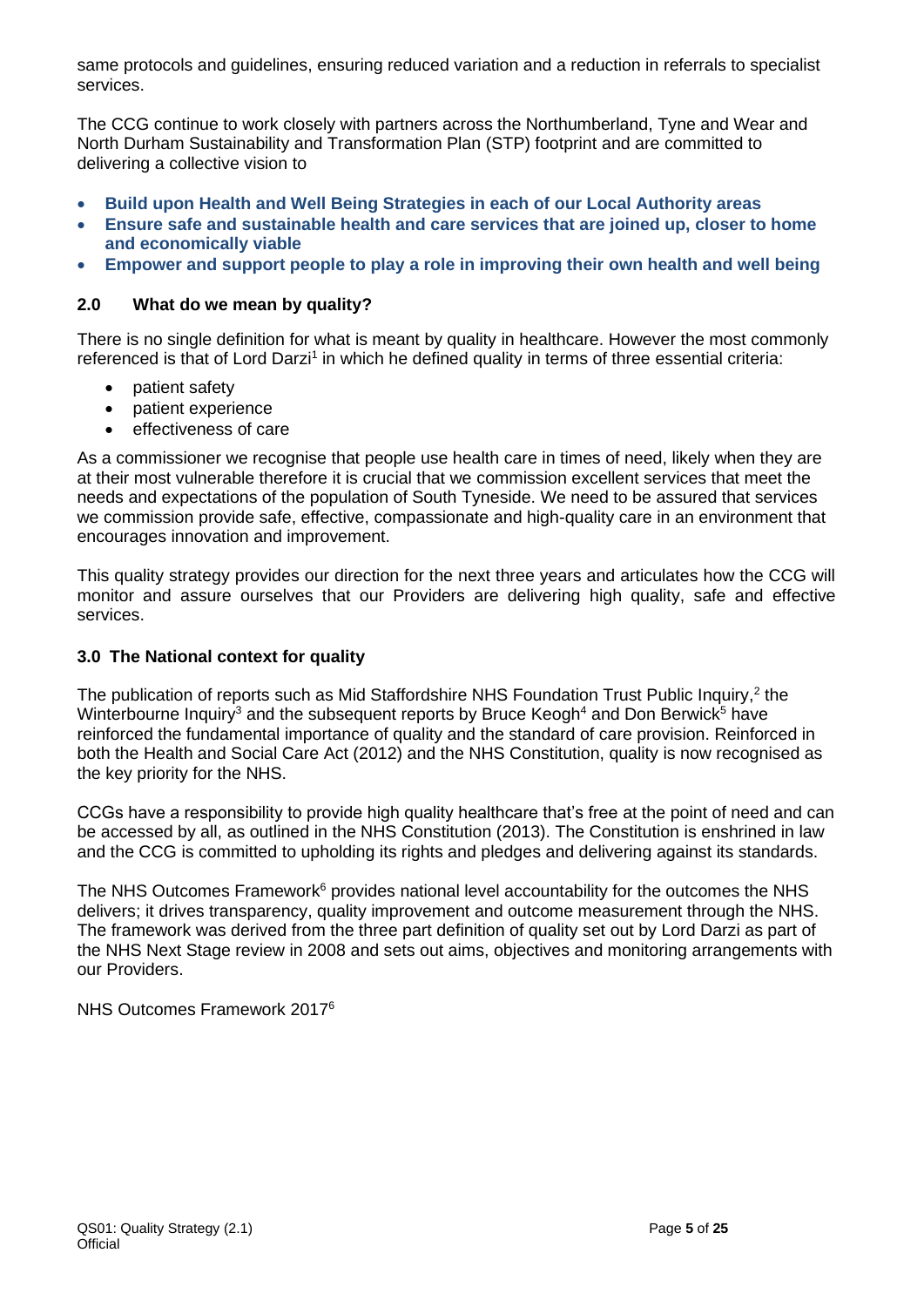same protocols and guidelines, ensuring reduced variation and a reduction in referrals to specialist services.

The CCG continue to work closely with partners across the Northumberland, Tyne and Wear and North Durham Sustainability and Transformation Plan (STP) footprint and are committed to delivering a collective vision to

- **Build upon Health and Well Being Strategies in each of our Local Authority areas**
- **Ensure safe and sustainable health and care services that are joined up, closer to home and economically viable**
- **Empower and support people to play a role in improving their own health and well being**

#### **2.0 What do we mean by quality?**

There is no single definition for what is meant by quality in healthcare. However the most commonly referenced is that of Lord Darzi<sup>1</sup> in which he defined quality in terms of three essential criteria:

- patient safety
- patient experience
- effectiveness of care

As a commissioner we recognise that people use health care in times of need, likely when they are at their most vulnerable therefore it is crucial that we commission excellent services that meet the needs and expectations of the population of South Tyneside. We need to be assured that services we commission provide safe, effective, compassionate and high-quality care in an environment that encourages innovation and improvement.

This quality strategy provides our direction for the next three years and articulates how the CCG will monitor and assure ourselves that our Providers are delivering high quality, safe and effective services.

#### **3.0 The National context for quality**

The publication of reports such as Mid Staffordshire NHS Foundation Trust Public Inquiry,<sup>2</sup> the Winterbourne Inquiry<sup>3</sup> and the subsequent reports by Bruce Keogh<sup>4</sup> and Don Berwick<sup>5</sup> have reinforced the fundamental importance of quality and the standard of care provision. Reinforced in both the Health and Social Care Act (2012) and the NHS Constitution, quality is now recognised as the key priority for the NHS.

CCGs have a responsibility to provide high quality healthcare that's free at the point of need and can be accessed by all, as outlined in the NHS Constitution (2013). The Constitution is enshrined in law and the CCG is committed to upholding its rights and pledges and delivering against its standards.

The NHS Outcomes Framework<sup>6</sup> provides national level accountability for the outcomes the NHS delivers; it drives transparency, quality improvement and outcome measurement through the NHS. The framework was derived from the three part definition of quality set out by Lord Darzi as part of the NHS Next Stage review in 2008 and sets out aims, objectives and monitoring arrangements with our Providers.

NHS Outcomes Framework 20176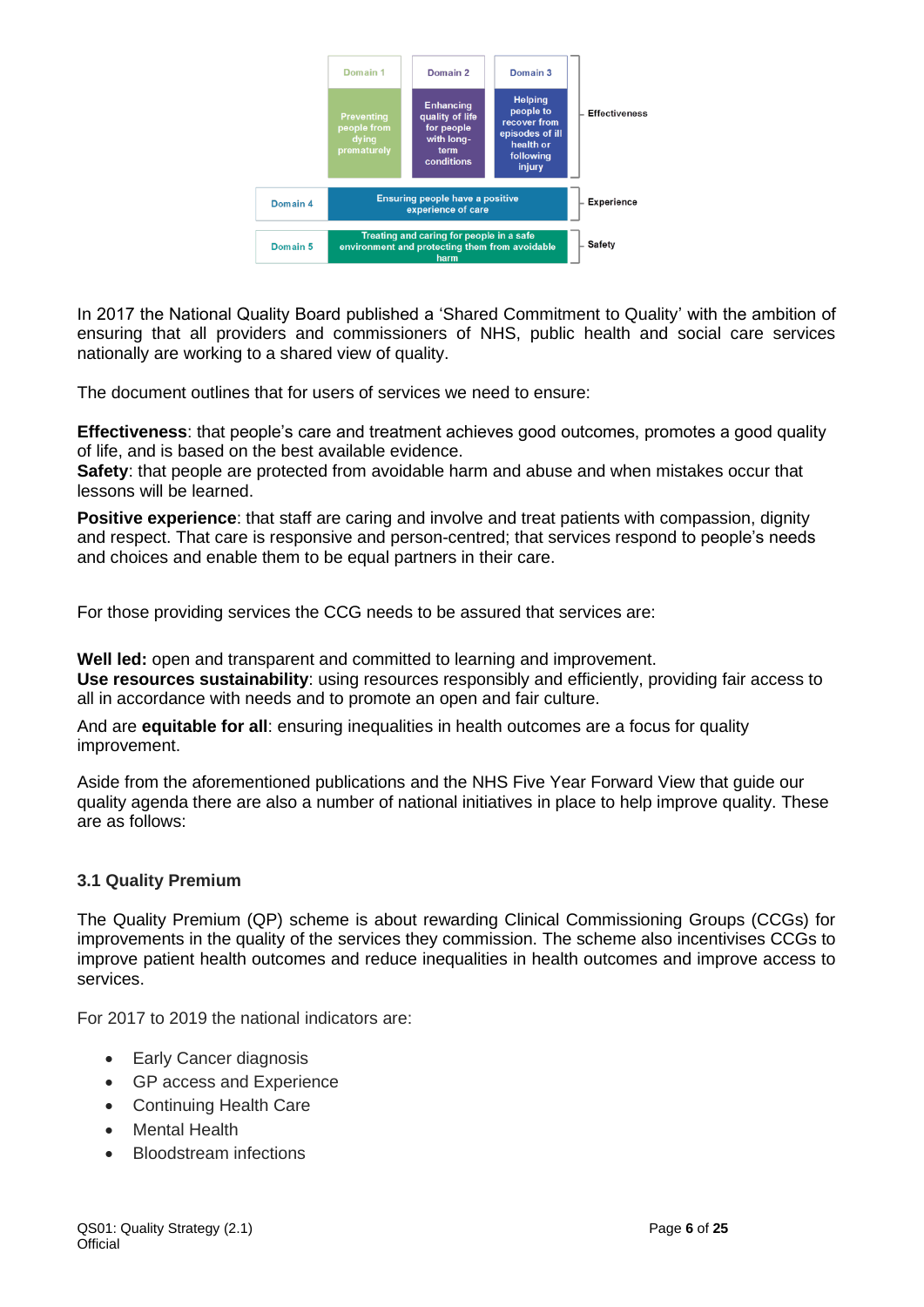

In 2017 the National Quality Board published a 'Shared Commitment to Quality' with the ambition of ensuring that all providers and commissioners of NHS, public health and social care services nationally are working to a shared view of quality.

The document outlines that for users of services we need to ensure:

**Effectiveness**: that people's care and treatment achieves good outcomes, promotes a good quality of life, and is based on the best available evidence.

**Safety**: that people are protected from avoidable harm and abuse and when mistakes occur that lessons will be learned.

**Positive experience**: that staff are caring and involve and treat patients with compassion, dignity and respect. That care is responsive and person-centred; that services respond to people's needs and choices and enable them to be equal partners in their care.

For those providing services the CCG needs to be assured that services are:

**Well led:** open and transparent and committed to learning and improvement. **Use resources sustainability**: using resources responsibly and efficiently, providing fair access to all in accordance with needs and to promote an open and fair culture.

And are **equitable for all**: ensuring inequalities in health outcomes are a focus for quality improvement.

Aside from the aforementioned publications and the NHS Five Year Forward View that guide our quality agenda there are also a number of national initiatives in place to help improve quality. These are as follows:

#### **3.1 Quality Premium**

The Quality Premium (QP) scheme is about rewarding Clinical Commissioning Groups (CCGs) for improvements in the quality of the services they commission. The scheme also incentivises CCGs to improve patient health outcomes and reduce inequalities in health outcomes and improve access to services.

For 2017 to 2019 the national indicators are:

- Early Cancer diagnosis
- GP access and Experience
- Continuing Health Care
- **Mental Health**
- Bloodstream infections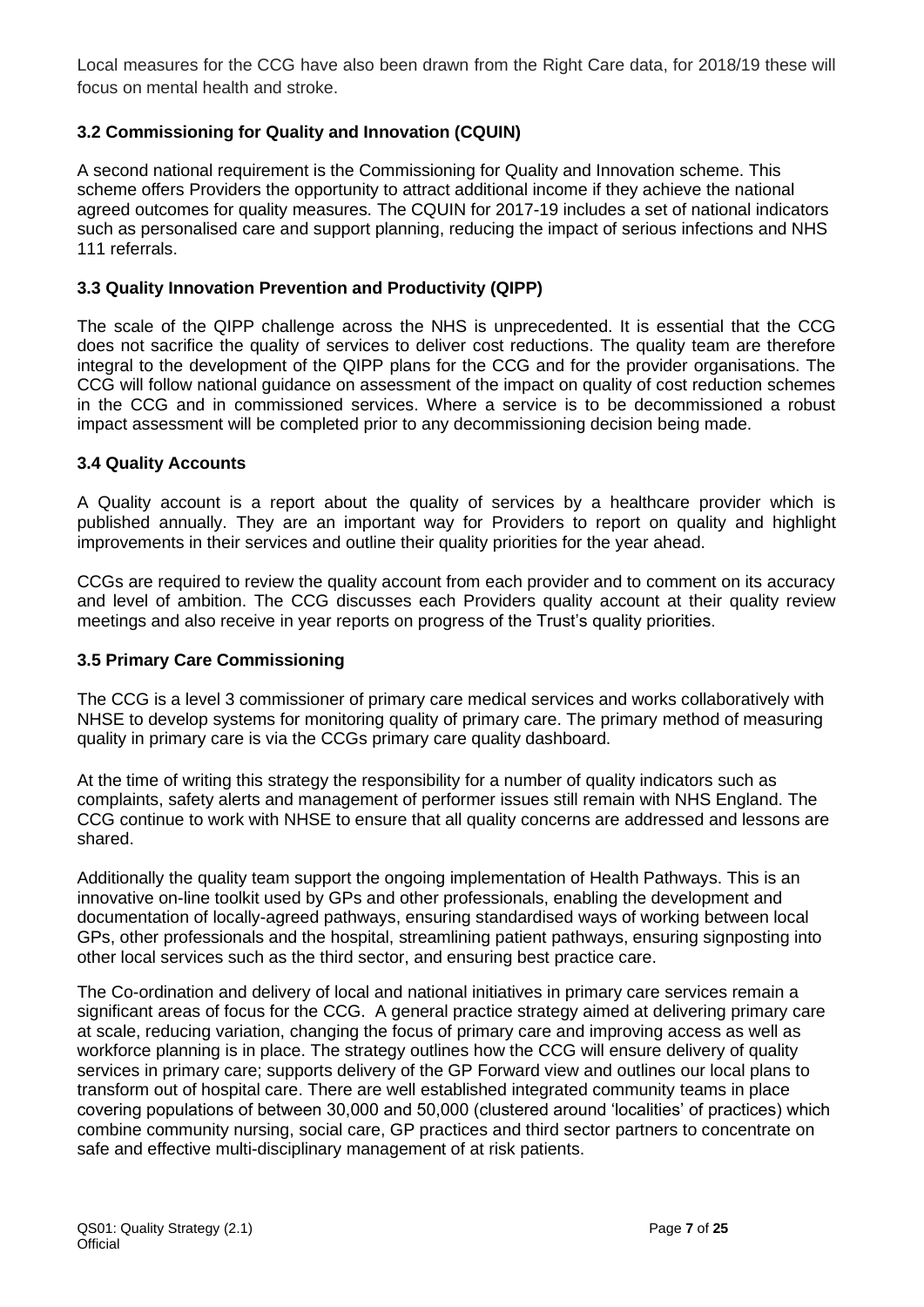Local measures for the CCG have also been drawn from the Right Care data, for 2018/19 these will focus on mental health and stroke.

#### **3.2 Commissioning for Quality and Innovation (CQUIN)**

A second national requirement is the Commissioning for Quality and Innovation scheme. This scheme offers Providers the opportunity to attract additional income if they achieve the national agreed outcomes for quality measures. The CQUIN for 2017-19 includes a set of national indicators such as personalised care and support planning, reducing the impact of serious infections and NHS 111 referrals.

#### **3.3 Quality Innovation Prevention and Productivity (QIPP)**

The scale of the QIPP challenge across the NHS is unprecedented. It is essential that the CCG does not sacrifice the quality of services to deliver cost reductions. The quality team are therefore integral to the development of the QIPP plans for the CCG and for the provider organisations. The CCG will follow national guidance on assessment of the impact on quality of cost reduction schemes in the CCG and in commissioned services. Where a service is to be decommissioned a robust impact assessment will be completed prior to any decommissioning decision being made.

#### **3.4 Quality Accounts**

A Quality account is a report about the quality of services by a healthcare provider which is published annually. They are an important way for Providers to report on quality and highlight improvements in their services and outline their quality priorities for the year ahead.

CCGs are required to review the quality account from each provider and to comment on its accuracy and level of ambition. The CCG discusses each Providers quality account at their quality review meetings and also receive in year reports on progress of the Trust's quality priorities.

#### **3.5 Primary Care Commissioning**

The CCG is a level 3 commissioner of primary care medical services and works collaboratively with NHSE to develop systems for monitoring quality of primary care. The primary method of measuring quality in primary care is via the CCGs primary care quality dashboard.

At the time of writing this strategy the responsibility for a number of quality indicators such as complaints, safety alerts and management of performer issues still remain with NHS England. The CCG continue to work with NHSE to ensure that all quality concerns are addressed and lessons are shared.

Additionally the quality team support the ongoing implementation of Health Pathways. This is an innovative on-line toolkit used by GPs and other professionals, enabling the development and documentation of locally-agreed pathways, ensuring standardised ways of working between local GPs, other professionals and the hospital, streamlining patient pathways, ensuring signposting into other local services such as the third sector, and ensuring best practice care.

The Co-ordination and delivery of local and national initiatives in primary care services remain a significant areas of focus for the CCG. A general practice strategy aimed at delivering primary care at scale, reducing variation, changing the focus of primary care and improving access as well as workforce planning is in place. The strategy outlines how the CCG will ensure delivery of quality services in primary care; supports delivery of the GP Forward view and outlines our local plans to transform out of hospital care. There are well established integrated community teams in place covering populations of between 30,000 and 50,000 (clustered around 'localities' of practices) which combine community nursing, social care, GP practices and third sector partners to concentrate on safe and effective multi-disciplinary management of at risk patients.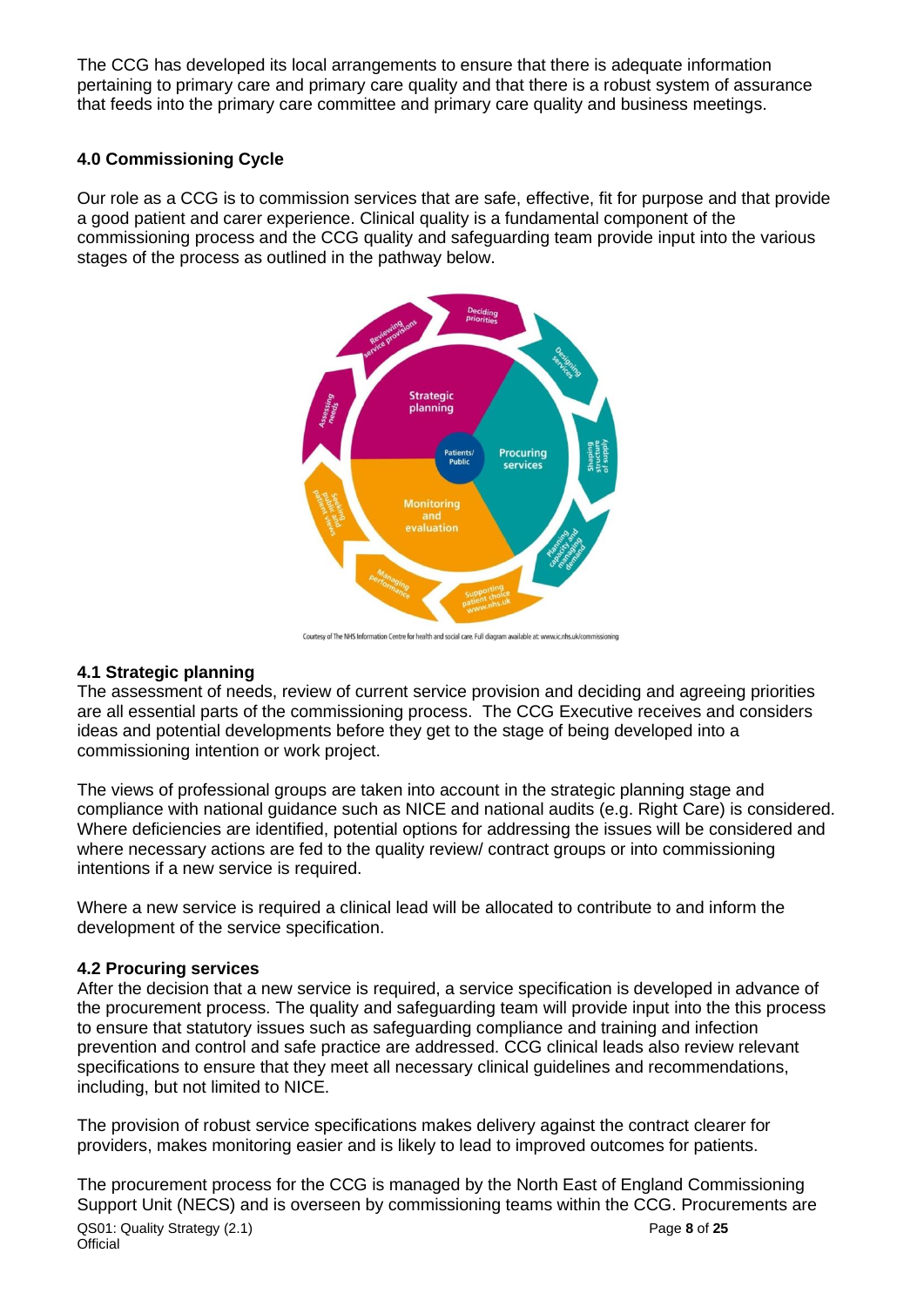The CCG has developed its local arrangements to ensure that there is adequate information pertaining to primary care and primary care quality and that there is a robust system of assurance that feeds into the primary care committee and primary care quality and business meetings.

#### **4.0 Commissioning Cycle**

Our role as a CCG is to commission services that are safe, effective, fit for purpose and that provide a good patient and carer experience. Clinical quality is a fundamental component of the commissioning process and the CCG quality and safeguarding team provide input into the various stages of the process as outlined in the pathway below.



Courtesy of The NHS Information Centre for health and social care. Full diagram available at: www.ic.nhs.uk/commissioning

#### **4.1 Strategic planning**

The assessment of needs, review of current service provision and deciding and agreeing priorities are all essential parts of the commissioning process. The CCG Executive receives and considers ideas and potential developments before they get to the stage of being developed into a commissioning intention or work project.

The views of professional groups are taken into account in the strategic planning stage and compliance with national guidance such as NICE and national audits (e.g. Right Care) is considered. Where deficiencies are identified, potential options for addressing the issues will be considered and where necessary actions are fed to the quality review/ contract groups or into commissioning intentions if a new service is required.

Where a new service is required a clinical lead will be allocated to contribute to and inform the development of the service specification.

#### **4.2 Procuring services**

After the decision that a new service is required, a service specification is developed in advance of the procurement process. The quality and safeguarding team will provide input into the this process to ensure that statutory issues such as safeguarding compliance and training and infection prevention and control and safe practice are addressed. CCG clinical leads also review relevant specifications to ensure that they meet all necessary clinical guidelines and recommendations, including, but not limited to NICE.

The provision of robust service specifications makes delivery against the contract clearer for providers, makes monitoring easier and is likely to lead to improved outcomes for patients.

QS01: Quality Strategy (2.1) Page **8** of **25 Official** The procurement process for the CCG is managed by the North East of England Commissioning Support Unit (NECS) and is overseen by commissioning teams within the CCG. Procurements are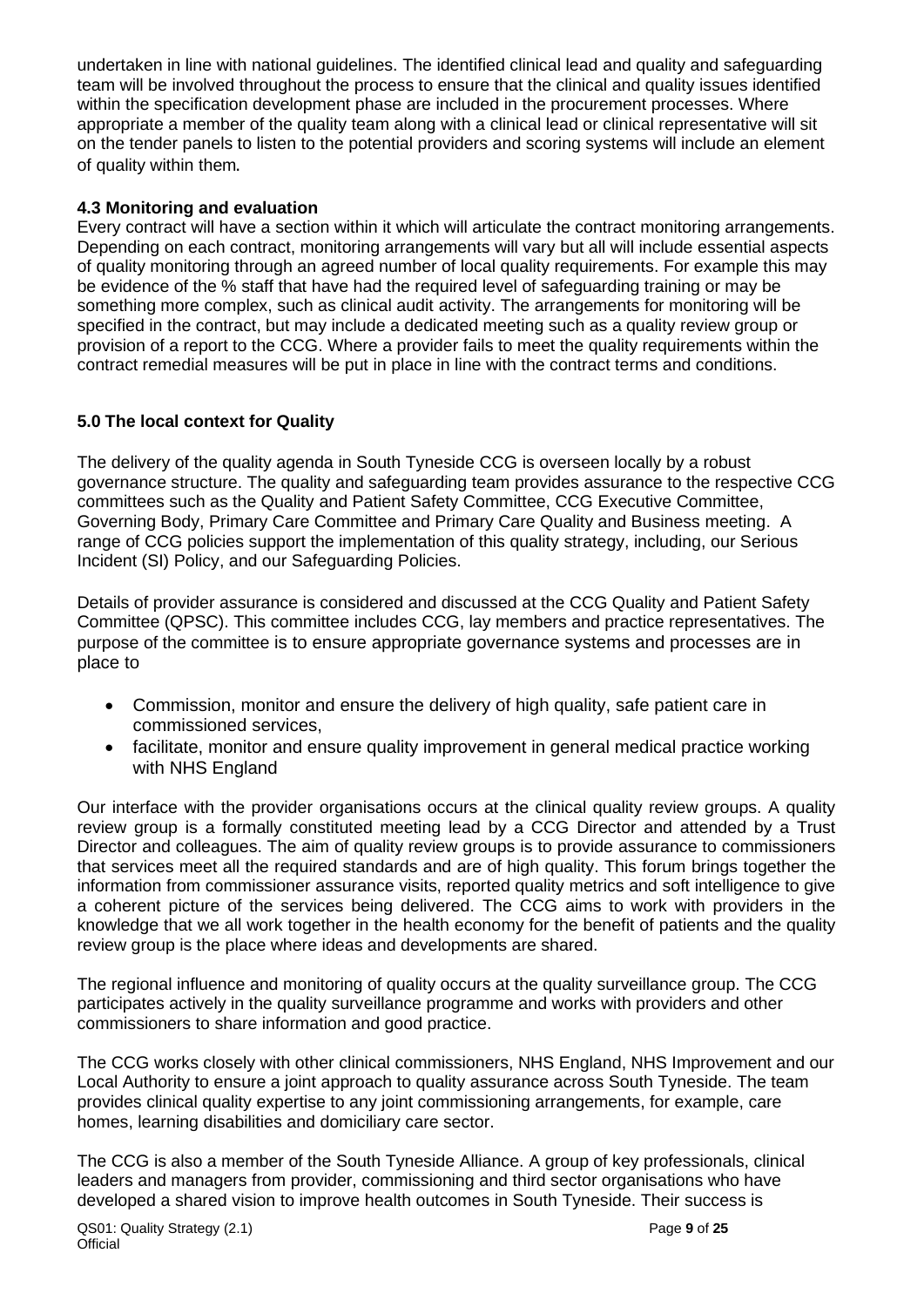undertaken in line with national guidelines. The identified clinical lead and quality and safeguarding team will be involved throughout the process to ensure that the clinical and quality issues identified within the specification development phase are included in the procurement processes. Where appropriate a member of the quality team along with a clinical lead or clinical representative will sit on the tender panels to listen to the potential providers and scoring systems will include an element of quality within them.

#### **4.3 Monitoring and evaluation**

Every contract will have a section within it which will articulate the contract monitoring arrangements. Depending on each contract, monitoring arrangements will vary but all will include essential aspects of quality monitoring through an agreed number of local quality requirements. For example this may be evidence of the % staff that have had the required level of safeguarding training or may be something more complex, such as clinical audit activity. The arrangements for monitoring will be specified in the contract, but may include a dedicated meeting such as a quality review group or provision of a report to the CCG. Where a provider fails to meet the quality requirements within the contract remedial measures will be put in place in line with the contract terms and conditions.

#### **5.0 The local context for Quality**

The delivery of the quality agenda in South Tyneside CCG is overseen locally by a robust governance structure. The quality and safeguarding team provides assurance to the respective CCG committees such as the Quality and Patient Safety Committee, CCG Executive Committee, Governing Body, Primary Care Committee and Primary Care Quality and Business meeting. A range of CCG policies support the implementation of this quality strategy, including, our Serious Incident (SI) Policy, and our Safeguarding Policies.

Details of provider assurance is considered and discussed at the CCG Quality and Patient Safety Committee (QPSC). This committee includes CCG, lay members and practice representatives. The purpose of the committee is to ensure appropriate governance systems and processes are in place to

- Commission, monitor and ensure the delivery of high quality, safe patient care in commissioned services,
- facilitate, monitor and ensure quality improvement in general medical practice working with NHS England

Our interface with the provider organisations occurs at the clinical quality review groups. A quality review group is a formally constituted meeting lead by a CCG Director and attended by a Trust Director and colleagues. The aim of quality review groups is to provide assurance to commissioners that services meet all the required standards and are of high quality. This forum brings together the information from commissioner assurance visits, reported quality metrics and soft intelligence to give a coherent picture of the services being delivered. The CCG aims to work with providers in the knowledge that we all work together in the health economy for the benefit of patients and the quality review group is the place where ideas and developments are shared.

The regional influence and monitoring of quality occurs at the quality surveillance group. The CCG participates actively in the quality surveillance programme and works with providers and other commissioners to share information and good practice.

The CCG works closely with other clinical commissioners, NHS England, NHS Improvement and our Local Authority to ensure a joint approach to quality assurance across South Tyneside. The team provides clinical quality expertise to any joint commissioning arrangements, for example, care homes, learning disabilities and domiciliary care sector.

The CCG is also a member of the South Tyneside Alliance. A group of key professionals, clinical leaders and managers from provider, commissioning and third sector organisations who have developed a shared vision to improve health outcomes in South Tyneside. Their success is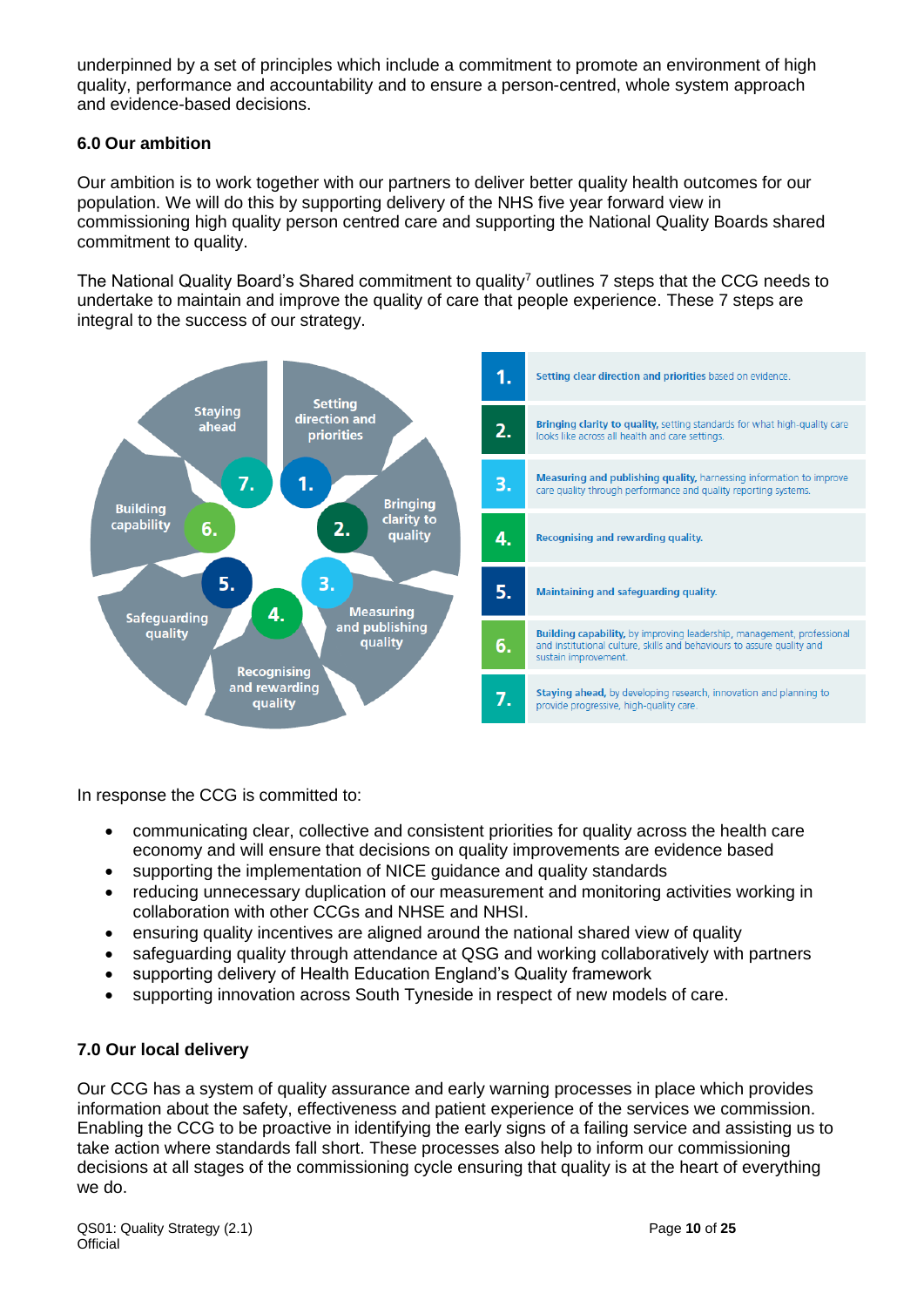underpinned by a set of principles which include a commitment to promote an environment of high quality, performance and accountability and to ensure a person-centred, whole system approach and evidence-based decisions.

#### **6.0 Our ambition**

Our ambition is to work together with our partners to deliver better quality health outcomes for our population. We will do this by supporting delivery of the NHS five year forward view in commissioning high quality person centred care and supporting the National Quality Boards shared commitment to quality.

The National Quality Board's Shared commitment to quality<sup>7</sup> outlines 7 steps that the CCG needs to undertake to maintain and improve the quality of care that people experience. These 7 steps are integral to the success of our strategy.



In response the CCG is committed to:

- communicating clear, collective and consistent priorities for quality across the health care economy and will ensure that decisions on quality improvements are evidence based
- supporting the implementation of NICE guidance and quality standards
- reducing unnecessary duplication of our measurement and monitoring activities working in collaboration with other CCGs and NHSE and NHSI.
- ensuring quality incentives are aligned around the national shared view of quality
- safeguarding quality through attendance at QSG and working collaboratively with partners
- supporting delivery of Health Education England's Quality framework
- supporting innovation across South Tyneside in respect of new models of care.

#### **7.0 Our local delivery**

Our CCG has a system of quality assurance and early warning processes in place which provides information about the safety, effectiveness and patient experience of the services we commission. Enabling the CCG to be proactive in identifying the early signs of a failing service and assisting us to take action where standards fall short. These processes also help to inform our commissioning decisions at all stages of the commissioning cycle ensuring that quality is at the heart of everything we do.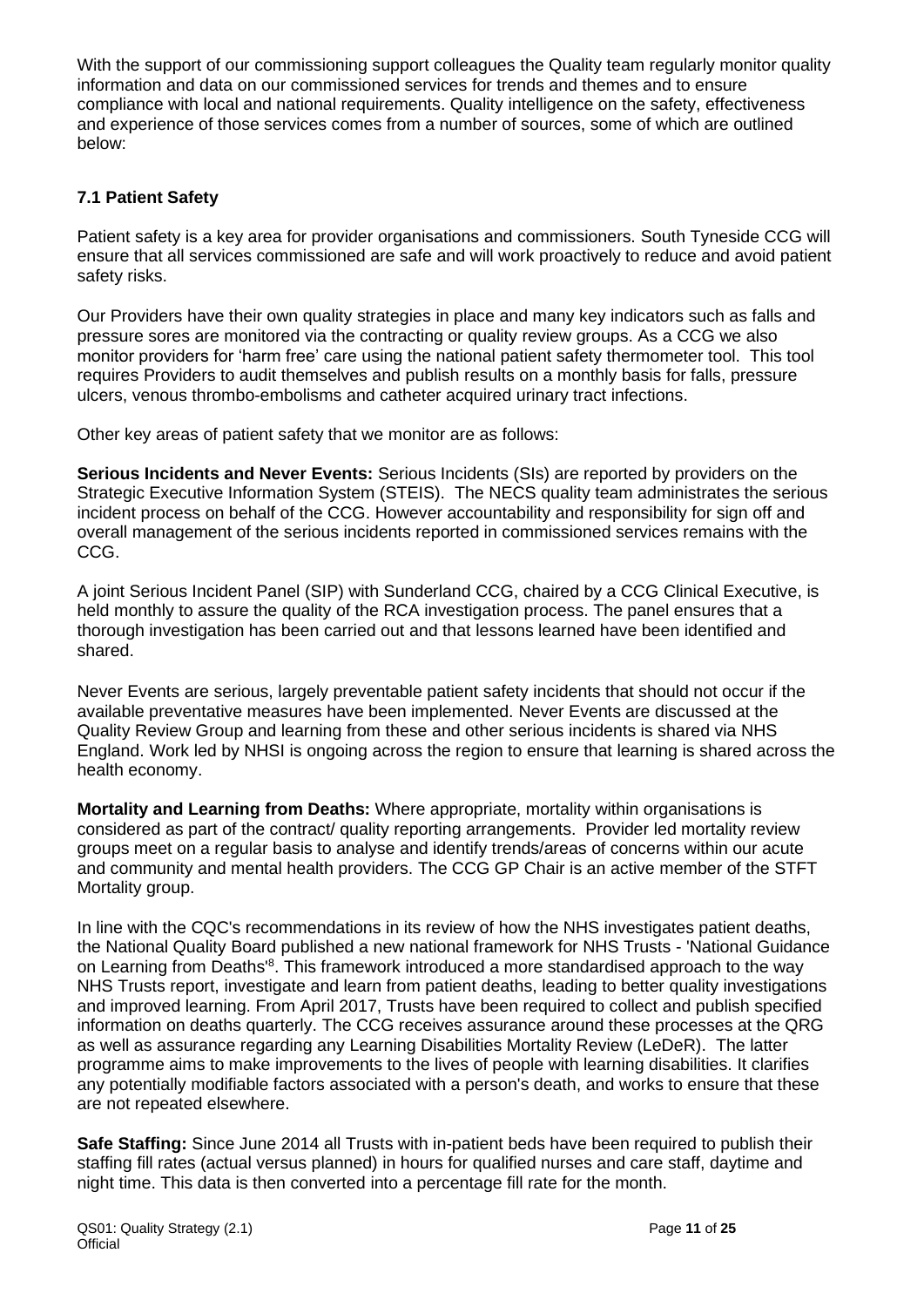With the support of our commissioning support colleagues the Quality team regularly monitor quality information and data on our commissioned services for trends and themes and to ensure compliance with local and national requirements. Quality intelligence on the safety, effectiveness and experience of those services comes from a number of sources, some of which are outlined below:

#### **7.1 Patient Safety**

Patient safety is a key area for provider organisations and commissioners. South Tyneside CCG will ensure that all services commissioned are safe and will work proactively to reduce and avoid patient safety risks.

Our Providers have their own quality strategies in place and many key indicators such as falls and pressure sores are monitored via the contracting or quality review groups. As a CCG we also monitor providers for 'harm free' care using the national patient safety thermometer tool. This tool requires Providers to audit themselves and publish results on a monthly basis for falls, pressure ulcers, venous thrombo-embolisms and catheter acquired urinary tract infections.

Other key areas of patient safety that we monitor are as follows:

**Serious Incidents and Never Events:** Serious Incidents (SIs) are reported by providers on the Strategic Executive Information System (STEIS). The NECS quality team administrates the serious incident process on behalf of the CCG. However accountability and responsibility for sign off and overall management of the serious incidents reported in commissioned services remains with the CCG.

A joint Serious Incident Panel (SIP) with Sunderland CCG, chaired by a CCG Clinical Executive, is held monthly to assure the quality of the RCA investigation process. The panel ensures that a thorough investigation has been carried out and that lessons learned have been identified and shared.

Never Events are serious, largely preventable patient safety incidents that should not occur if the available preventative measures have been implemented. Never Events are discussed at the Quality Review Group and learning from these and other serious incidents is shared via NHS England. Work led by NHSI is ongoing across the region to ensure that learning is shared across the health economy.

**Mortality and Learning from Deaths:** Where appropriate, mortality within organisations is considered as part of the contract/ quality reporting arrangements. Provider led mortality review groups meet on a regular basis to analyse and identify trends/areas of concerns within our acute and community and mental health providers. The CCG GP Chair is an active member of the STFT Mortality group.

In line with the CQC's recommendations in its review of how the NHS investigates patient deaths, the National Quality Board published a new national framework for NHS Trusts - 'National Guidance on Learning from Deaths'<sup>8</sup>. This framework introduced a more standardised approach to the way NHS Trusts report, investigate and learn from patient deaths, leading to better quality investigations and improved learning. From April 2017, Trusts have been required to collect and publish specified information on deaths quarterly. The CCG receives assurance around these processes at the QRG as well as assurance regarding any Learning Disabilities Mortality Review (LeDeR). The latter programme aims to make improvements to the lives of people with learning disabilities. It clarifies any potentially modifiable factors associated with a person's death, and works to ensure that these are not repeated elsewhere.

**Safe Staffing:** Since June 2014 all Trusts with in-patient beds have been required to publish their staffing fill rates (actual versus planned) in hours for qualified nurses and care staff, daytime and night time. This data is then converted into a percentage fill rate for the month.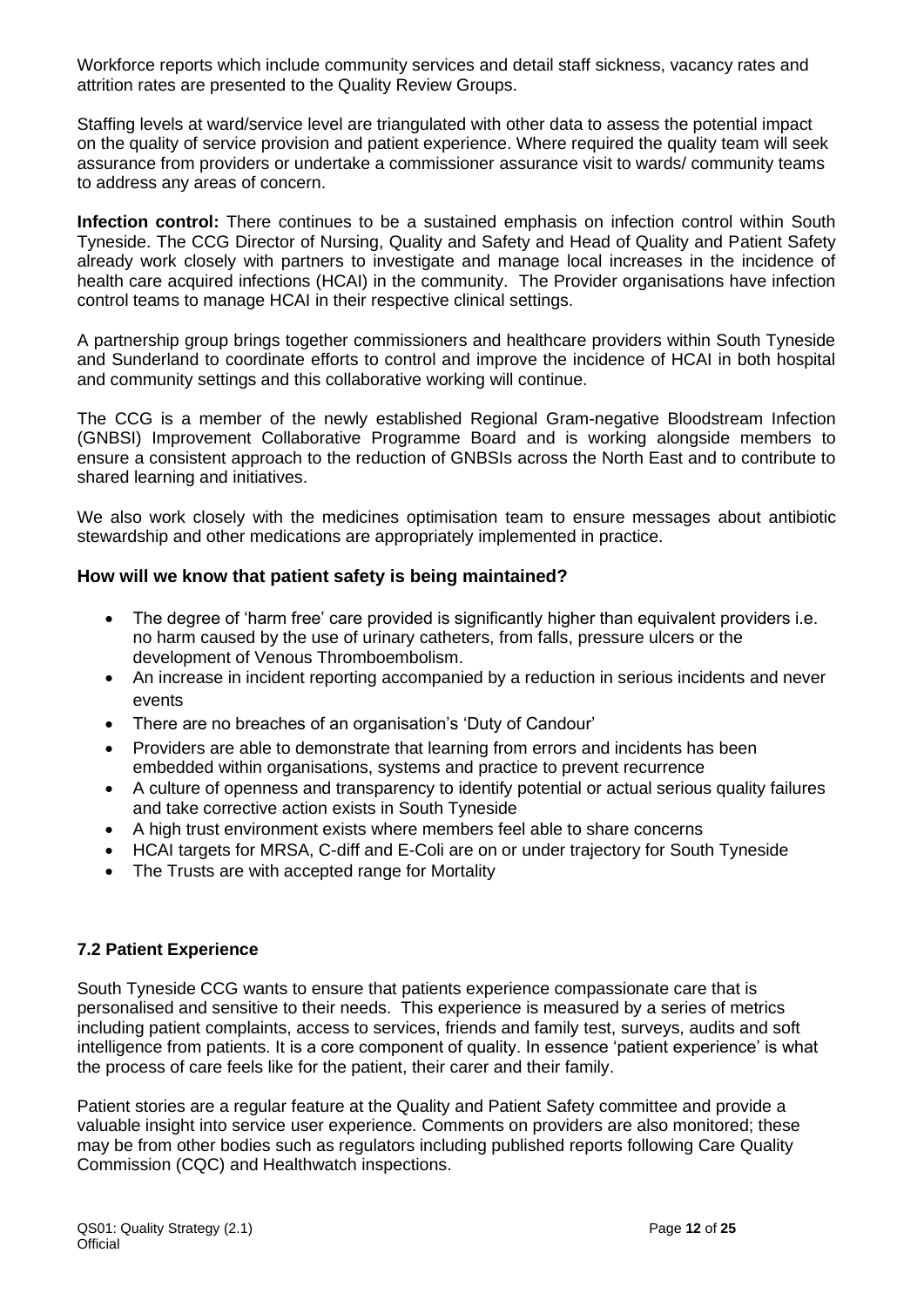Workforce reports which include community services and detail staff sickness, vacancy rates and attrition rates are presented to the Quality Review Groups.

Staffing levels at ward/service level are triangulated with other data to assess the potential impact on the quality of service provision and patient experience. Where required the quality team will seek assurance from providers or undertake a commissioner assurance visit to wards/ community teams to address any areas of concern.

**Infection control:** There continues to be a sustained emphasis on infection control within South Tyneside. The CCG Director of Nursing, Quality and Safety and Head of Quality and Patient Safety already work closely with partners to investigate and manage local increases in the incidence of health care acquired infections (HCAI) in the community. The Provider organisations have infection control teams to manage HCAI in their respective clinical settings.

A partnership group brings together commissioners and healthcare providers within South Tyneside and Sunderland to coordinate efforts to control and improve the incidence of HCAI in both hospital and community settings and this collaborative working will continue.

The CCG is a member of the newly established Regional Gram-negative Bloodstream Infection (GNBSI) Improvement Collaborative Programme Board and is working alongside members to ensure a consistent approach to the reduction of GNBSIs across the North East and to contribute to shared learning and initiatives.

We also work closely with the medicines optimisation team to ensure messages about antibiotic stewardship and other medications are appropriately implemented in practice.

#### **How will we know that patient safety is being maintained?**

- The degree of 'harm free' care provided is significantly higher than equivalent providers i.e. no harm caused by the use of urinary catheters, from falls, pressure ulcers or the development of Venous Thromboembolism.
- An increase in incident reporting accompanied by a reduction in serious incidents and never events
- There are no breaches of an organisation's 'Duty of Candour'
- Providers are able to demonstrate that learning from errors and incidents has been embedded within organisations, systems and practice to prevent recurrence
- A culture of openness and transparency to identify potential or actual serious quality failures and take corrective action exists in South Tyneside
- A high trust environment exists where members feel able to share concerns
- HCAI targets for MRSA, C-diff and E-Coli are on or under trajectory for South Tyneside
- The Trusts are with accepted range for Mortality

#### **7.2 Patient Experience**

South Tyneside CCG wants to ensure that patients experience compassionate care that is personalised and sensitive to their needs. This experience is measured by a series of metrics including patient complaints, access to services, friends and family test, surveys, audits and soft intelligence from patients. It is a core component of quality. In essence 'patient experience' is what the process of care feels like for the patient, their carer and their family.

Patient stories are a regular feature at the Quality and Patient Safety committee and provide a valuable insight into service user experience. Comments on providers are also monitored; these may be from other bodies such as regulators including published reports following Care Quality Commission (CQC) and Healthwatch inspections.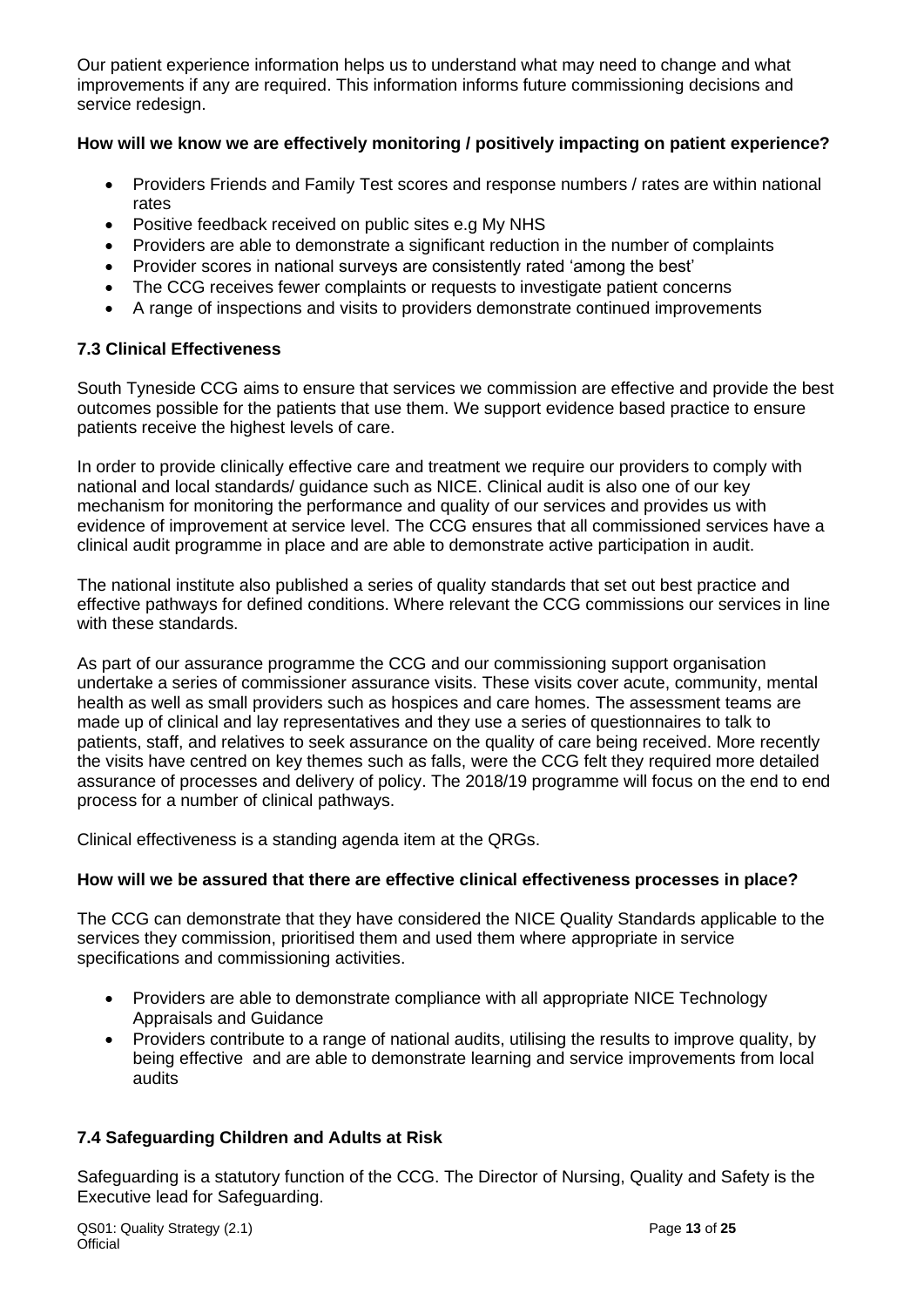Our patient experience information helps us to understand what may need to change and what improvements if any are required. This information informs future commissioning decisions and service redesign.

#### **How will we know we are effectively monitoring / positively impacting on patient experience?**

- Providers Friends and Family Test scores and response numbers / rates are within national rates
- Positive feedback received on public sites e.g My NHS
- Providers are able to demonstrate a significant reduction in the number of complaints
- Provider scores in national surveys are consistently rated 'among the best'
- The CCG receives fewer complaints or requests to investigate patient concerns
- A range of inspections and visits to providers demonstrate continued improvements

#### **7.3 Clinical Effectiveness**

South Tyneside CCG aims to ensure that services we commission are effective and provide the best outcomes possible for the patients that use them. We support evidence based practice to ensure patients receive the highest levels of care.

In order to provide clinically effective care and treatment we require our providers to comply with national and local standards/ guidance such as NICE. Clinical audit is also one of our key mechanism for monitoring the performance and quality of our services and provides us with evidence of improvement at service level. The CCG ensures that all commissioned services have a clinical audit programme in place and are able to demonstrate active participation in audit.

The national institute also published a series of quality standards that set out best practice and effective pathways for defined conditions. Where relevant the CCG commissions our services in line with these standards.

As part of our assurance programme the CCG and our commissioning support organisation undertake a series of commissioner assurance visits. These visits cover acute, community, mental health as well as small providers such as hospices and care homes. The assessment teams are made up of clinical and lay representatives and they use a series of questionnaires to talk to patients, staff, and relatives to seek assurance on the quality of care being received. More recently the visits have centred on key themes such as falls, were the CCG felt they required more detailed assurance of processes and delivery of policy. The 2018/19 programme will focus on the end to end process for a number of clinical pathways.

Clinical effectiveness is a standing agenda item at the QRGs.

#### **How will we be assured that there are effective clinical effectiveness processes in place?**

The CCG can demonstrate that they have considered the NICE Quality Standards applicable to the services they commission, prioritised them and used them where appropriate in service specifications and commissioning activities.

- Providers are able to demonstrate compliance with all appropriate NICE Technology Appraisals and Guidance
- Providers contribute to a range of national audits, utilising the results to improve quality, by being effective and are able to demonstrate learning and service improvements from local audits

#### **7.4 Safeguarding Children and Adults at Risk**

Safeguarding is a statutory function of the CCG. The Director of Nursing, Quality and Safety is the Executive lead for Safeguarding.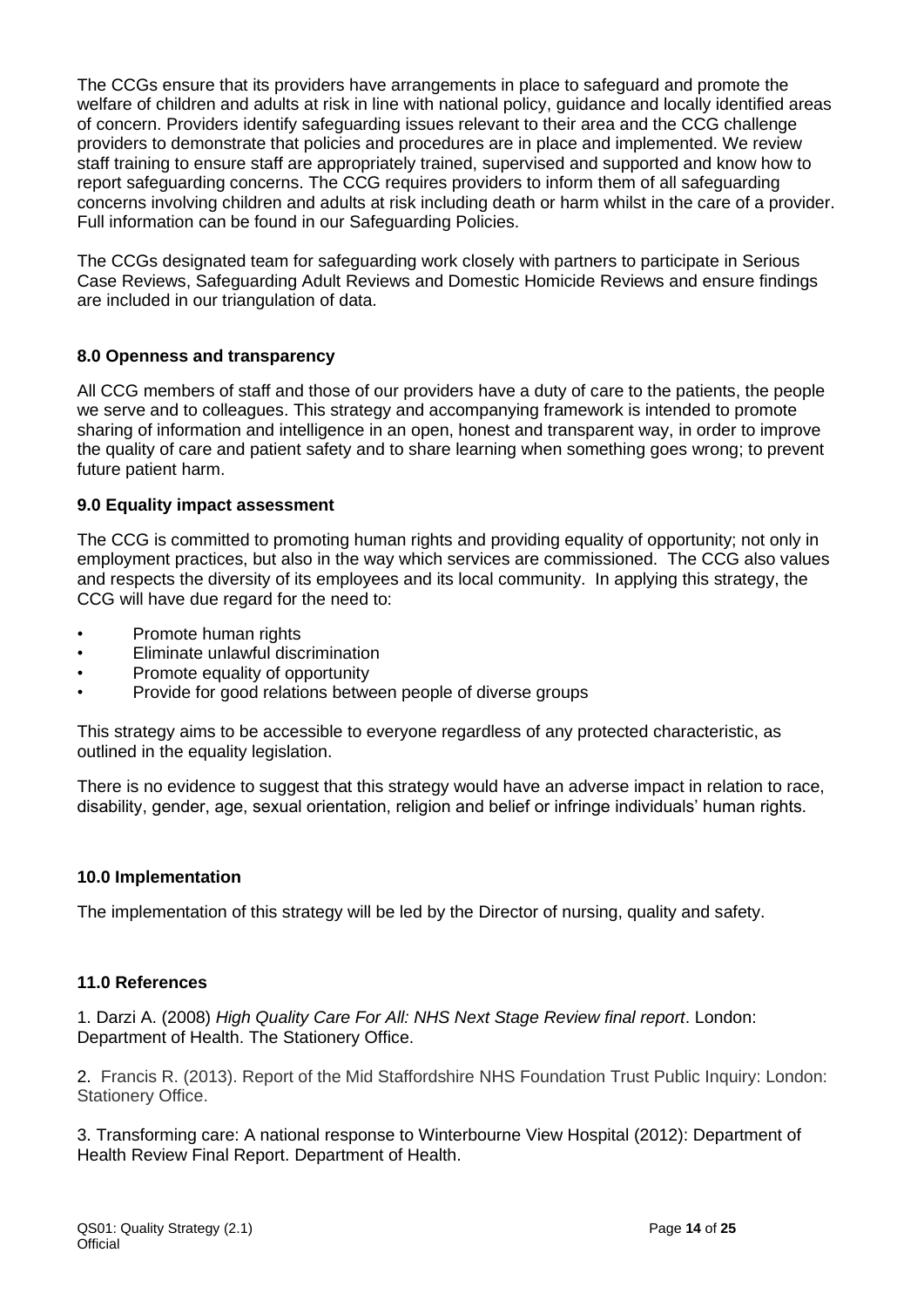The CCGs ensure that its providers have arrangements in place to safeguard and promote the welfare of children and adults at risk in line with national policy, guidance and locally identified areas of concern. Providers identify safeguarding issues relevant to their area and the CCG challenge providers to demonstrate that policies and procedures are in place and implemented. We review staff training to ensure staff are appropriately trained, supervised and supported and know how to report safeguarding concerns. The CCG requires providers to inform them of all safeguarding concerns involving children and adults at risk including death or harm whilst in the care of a provider. Full information can be found in our Safeguarding Policies.

The CCGs designated team for safeguarding work closely with partners to participate in Serious Case Reviews, Safeguarding Adult Reviews and Domestic Homicide Reviews and ensure findings are included in our triangulation of data.

#### **8.0 Openness and transparency**

All CCG members of staff and those of our providers have a duty of care to the patients, the people we serve and to colleagues. This strategy and accompanying framework is intended to promote sharing of information and intelligence in an open, honest and transparent way, in order to improve the quality of care and patient safety and to share learning when something goes wrong; to prevent future patient harm.

#### **9.0 Equality impact assessment**

The CCG is committed to promoting human rights and providing equality of opportunity; not only in employment practices, but also in the way which services are commissioned. The CCG also values and respects the diversity of its employees and its local community. In applying this strategy, the CCG will have due regard for the need to:

- Promote human rights
- Eliminate unlawful discrimination
- Promote equality of opportunity
- Provide for good relations between people of diverse groups

This strategy aims to be accessible to everyone regardless of any protected characteristic, as outlined in the equality legislation.

There is no evidence to suggest that this strategy would have an adverse impact in relation to race, disability, gender, age, sexual orientation, religion and belief or infringe individuals' human rights.

#### **10.0 Implementation**

The implementation of this strategy will be led by the Director of nursing, quality and safety.

#### **11.0 References**

1. Darzi A. (2008) *High Quality Care For All: NHS Next Stage Review final report*. London: Department of Health. The Stationery Office.

2. Francis R. (2013). Report of the Mid Staffordshire NHS Foundation Trust Public Inquiry: London: Stationery Office.

3. Transforming care: A national response to Winterbourne View Hospital (2012): Department of Health Review Final Report. Department of Health.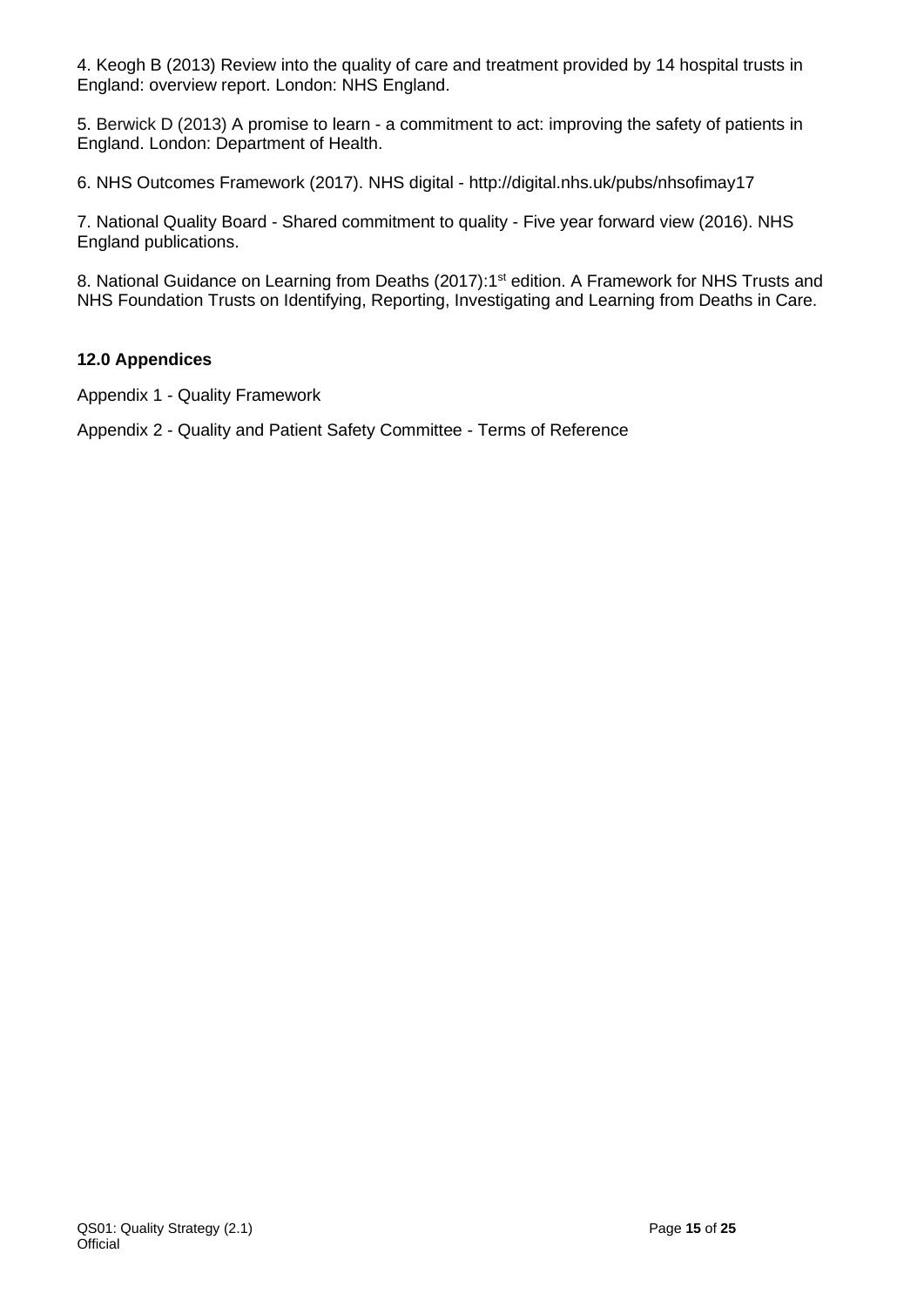4. Keogh B (2013) [Review into the quality of care and treatment provided by 14 hospital trusts in](http://www.nhs.uk/nhsengland/bruce-keogh-review/documents/outcomes/keogh-review-final-report.pdf)  [England: overview report.](http://www.nhs.uk/nhsengland/bruce-keogh-review/documents/outcomes/keogh-review-final-report.pdf) London: NHS England.

5. Berwick D (2013) A promise to learn - [a commitment to act: improving the safety of patients in](https://www.gov.uk/government/uploads/system/uploads/attachment_data/file/226703/Berwick_Report.pdf)  [England.](https://www.gov.uk/government/uploads/system/uploads/attachment_data/file/226703/Berwick_Report.pdf) London: Department of Health.

6. NHS Outcomes Framework (2017). NHS digital - <http://digital.nhs.uk/pubs/nhsofimay17>

7. National Quality Board - Shared commitment to quality - Five year forward view (2016). NHS England publications.

8. National Guidance on Learning from Deaths (2017):1<sup>st</sup> edition. A Framework for NHS Trusts and NHS Foundation Trusts on Identifying, Reporting, Investigating and Learning from Deaths in Care.

#### **12.0 Appendices**

Appendix 1 - Quality Framework

Appendix 2 - Quality and Patient Safety Committee - Terms of Reference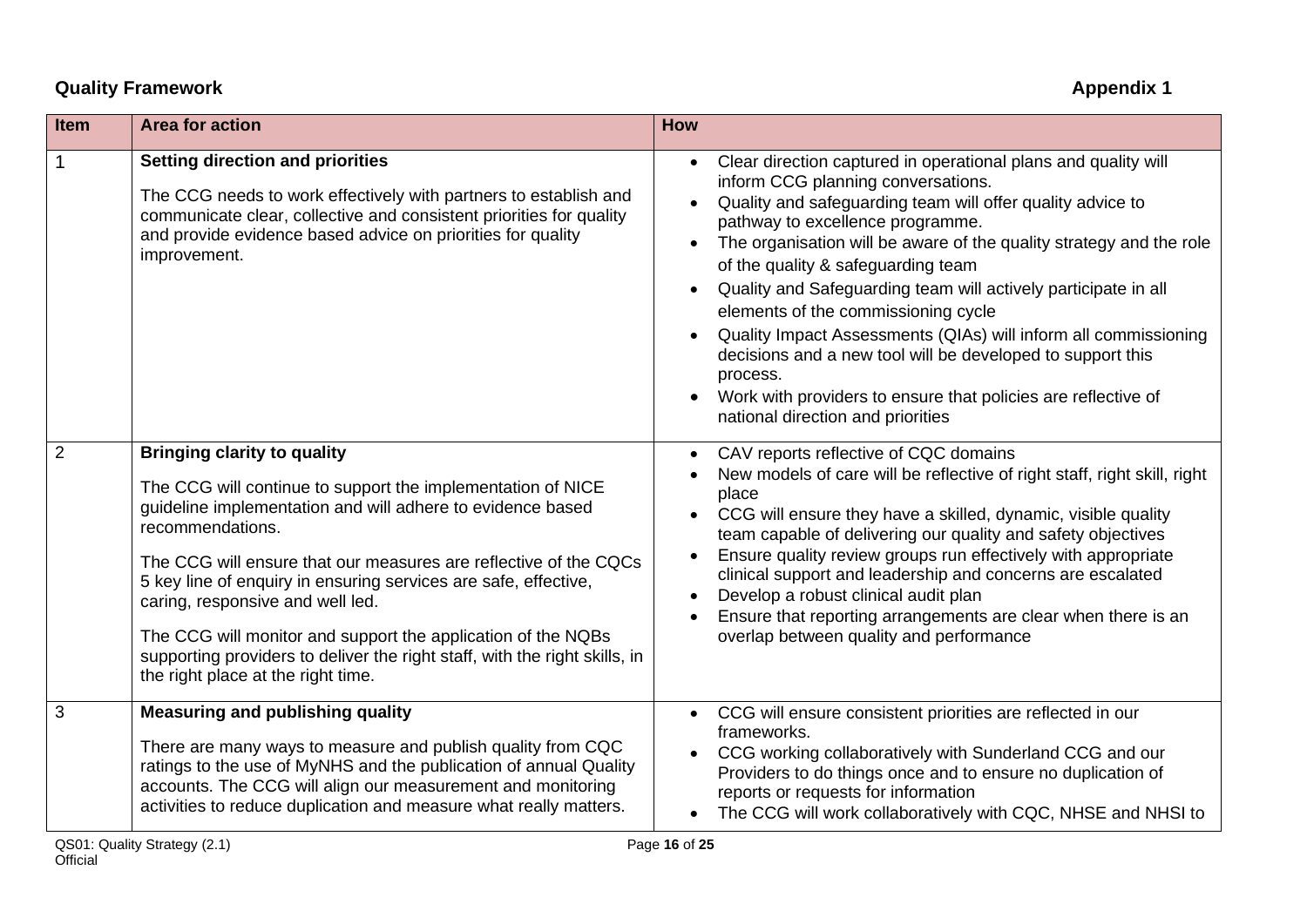# **Called Appendix 1** Appendix 1

| <b>Item</b>    | <b>Area for action</b>                                                                                                                                                                                                                                                                                                                                                                                                                                                                                                                             | <b>How</b>                                                                                                                                                                                                                                                                                                                                                                                                                                                                                                                                                                                                                                                                                   |
|----------------|----------------------------------------------------------------------------------------------------------------------------------------------------------------------------------------------------------------------------------------------------------------------------------------------------------------------------------------------------------------------------------------------------------------------------------------------------------------------------------------------------------------------------------------------------|----------------------------------------------------------------------------------------------------------------------------------------------------------------------------------------------------------------------------------------------------------------------------------------------------------------------------------------------------------------------------------------------------------------------------------------------------------------------------------------------------------------------------------------------------------------------------------------------------------------------------------------------------------------------------------------------|
| $\mathbf 1$    | <b>Setting direction and priorities</b><br>The CCG needs to work effectively with partners to establish and<br>communicate clear, collective and consistent priorities for quality<br>and provide evidence based advice on priorities for quality<br>improvement.                                                                                                                                                                                                                                                                                  | Clear direction captured in operational plans and quality will<br>$\bullet$<br>inform CCG planning conversations.<br>Quality and safeguarding team will offer quality advice to<br>pathway to excellence programme.<br>The organisation will be aware of the quality strategy and the role<br>of the quality & safeguarding team<br>Quality and Safeguarding team will actively participate in all<br>elements of the commissioning cycle<br>Quality Impact Assessments (QIAs) will inform all commissioning<br>decisions and a new tool will be developed to support this<br>process.<br>Work with providers to ensure that policies are reflective of<br>national direction and priorities |
| $\overline{2}$ | <b>Bringing clarity to quality</b><br>The CCG will continue to support the implementation of NICE<br>guideline implementation and will adhere to evidence based<br>recommendations.<br>The CCG will ensure that our measures are reflective of the CQCs<br>5 key line of enquiry in ensuring services are safe, effective,<br>caring, responsive and well led.<br>The CCG will monitor and support the application of the NQBs<br>supporting providers to deliver the right staff, with the right skills, in<br>the right place at the right time. | CAV reports reflective of CQC domains<br>New models of care will be reflective of right staff, right skill, right<br>place<br>CCG will ensure they have a skilled, dynamic, visible quality<br>team capable of delivering our quality and safety objectives<br>Ensure quality review groups run effectively with appropriate<br>clinical support and leadership and concerns are escalated<br>Develop a robust clinical audit plan<br>Ensure that reporting arrangements are clear when there is an<br>overlap between quality and performance                                                                                                                                               |
| 3              | <b>Measuring and publishing quality</b><br>There are many ways to measure and publish quality from CQC<br>ratings to the use of MyNHS and the publication of annual Quality<br>accounts. The CCG will align our measurement and monitoring<br>activities to reduce duplication and measure what really matters.                                                                                                                                                                                                                                    | CCG will ensure consistent priorities are reflected in our<br>$\bullet$<br>frameworks.<br>CCG working collaboratively with Sunderland CCG and our<br>Providers to do things once and to ensure no duplication of<br>reports or requests for information<br>The CCG will work collaboratively with CQC, NHSE and NHSI to                                                                                                                                                                                                                                                                                                                                                                      |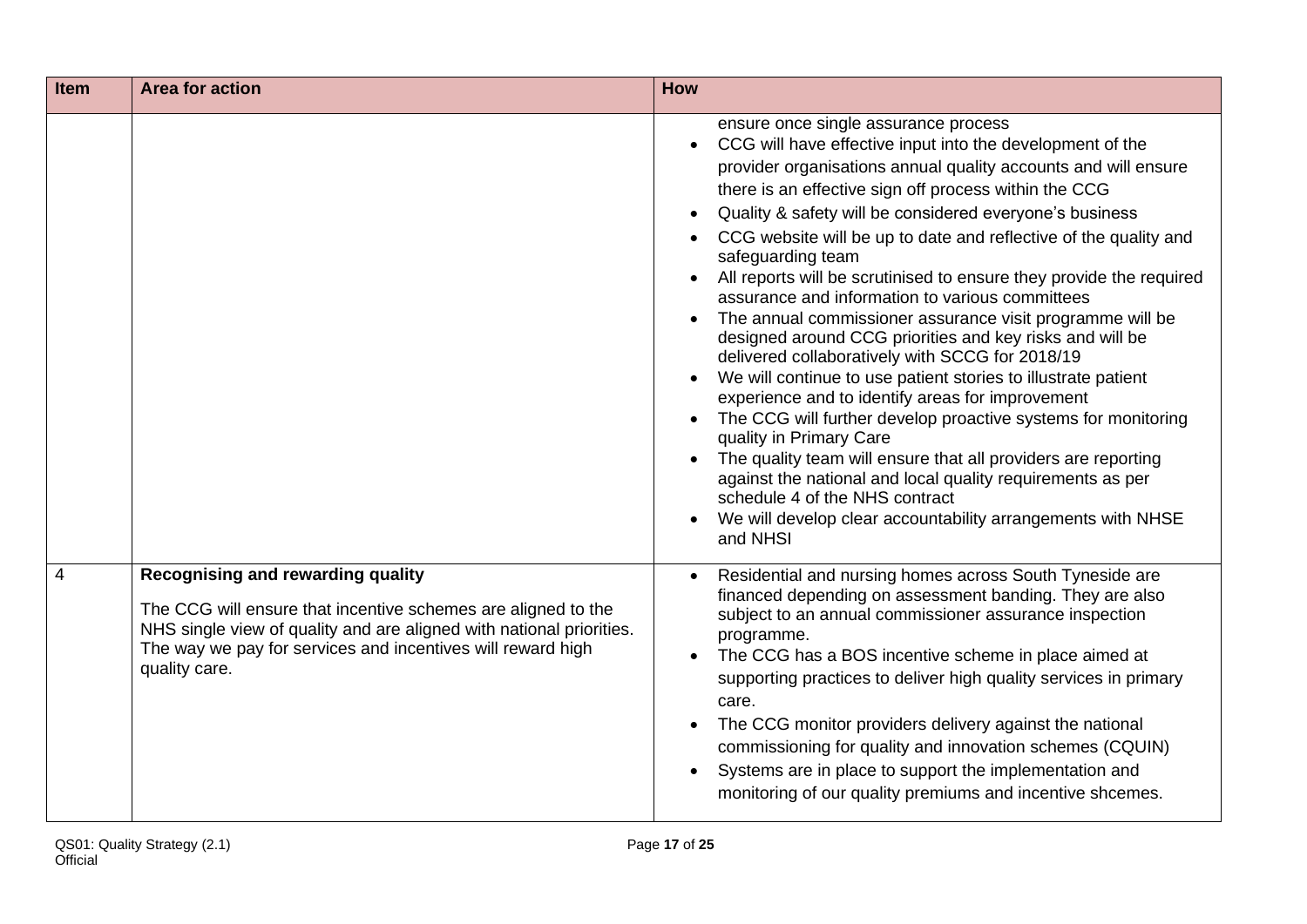| <b>Item</b>    | <b>Area for action</b>                                                                                                                                                                                                                                            | <b>How</b>                                                                                                                                                                                                                                                                                                                                                                                                                                                                                                                                                                                                                                                                                                                                                                                                                                                                                                                                                                                                                                                                                                                                          |
|----------------|-------------------------------------------------------------------------------------------------------------------------------------------------------------------------------------------------------------------------------------------------------------------|-----------------------------------------------------------------------------------------------------------------------------------------------------------------------------------------------------------------------------------------------------------------------------------------------------------------------------------------------------------------------------------------------------------------------------------------------------------------------------------------------------------------------------------------------------------------------------------------------------------------------------------------------------------------------------------------------------------------------------------------------------------------------------------------------------------------------------------------------------------------------------------------------------------------------------------------------------------------------------------------------------------------------------------------------------------------------------------------------------------------------------------------------------|
|                |                                                                                                                                                                                                                                                                   | ensure once single assurance process<br>CCG will have effective input into the development of the<br>provider organisations annual quality accounts and will ensure<br>there is an effective sign off process within the CCG<br>Quality & safety will be considered everyone's business<br>CCG website will be up to date and reflective of the quality and<br>safeguarding team<br>All reports will be scrutinised to ensure they provide the required<br>assurance and information to various committees<br>The annual commissioner assurance visit programme will be<br>designed around CCG priorities and key risks and will be<br>delivered collaboratively with SCCG for 2018/19<br>We will continue to use patient stories to illustrate patient<br>experience and to identify areas for improvement<br>The CCG will further develop proactive systems for monitoring<br>quality in Primary Care<br>The quality team will ensure that all providers are reporting<br>against the national and local quality requirements as per<br>schedule 4 of the NHS contract<br>We will develop clear accountability arrangements with NHSE<br>and NHSI |
| $\overline{4}$ | <b>Recognising and rewarding quality</b><br>The CCG will ensure that incentive schemes are aligned to the<br>NHS single view of quality and are aligned with national priorities.<br>The way we pay for services and incentives will reward high<br>quality care. | Residential and nursing homes across South Tyneside are<br>financed depending on assessment banding. They are also<br>subject to an annual commissioner assurance inspection<br>programme.<br>The CCG has a BOS incentive scheme in place aimed at<br>supporting practices to deliver high quality services in primary<br>care.<br>The CCG monitor providers delivery against the national<br>commissioning for quality and innovation schemes (CQUIN)<br>Systems are in place to support the implementation and<br>monitoring of our quality premiums and incentive shcemes.                                                                                                                                                                                                                                                                                                                                                                                                                                                                                                                                                                       |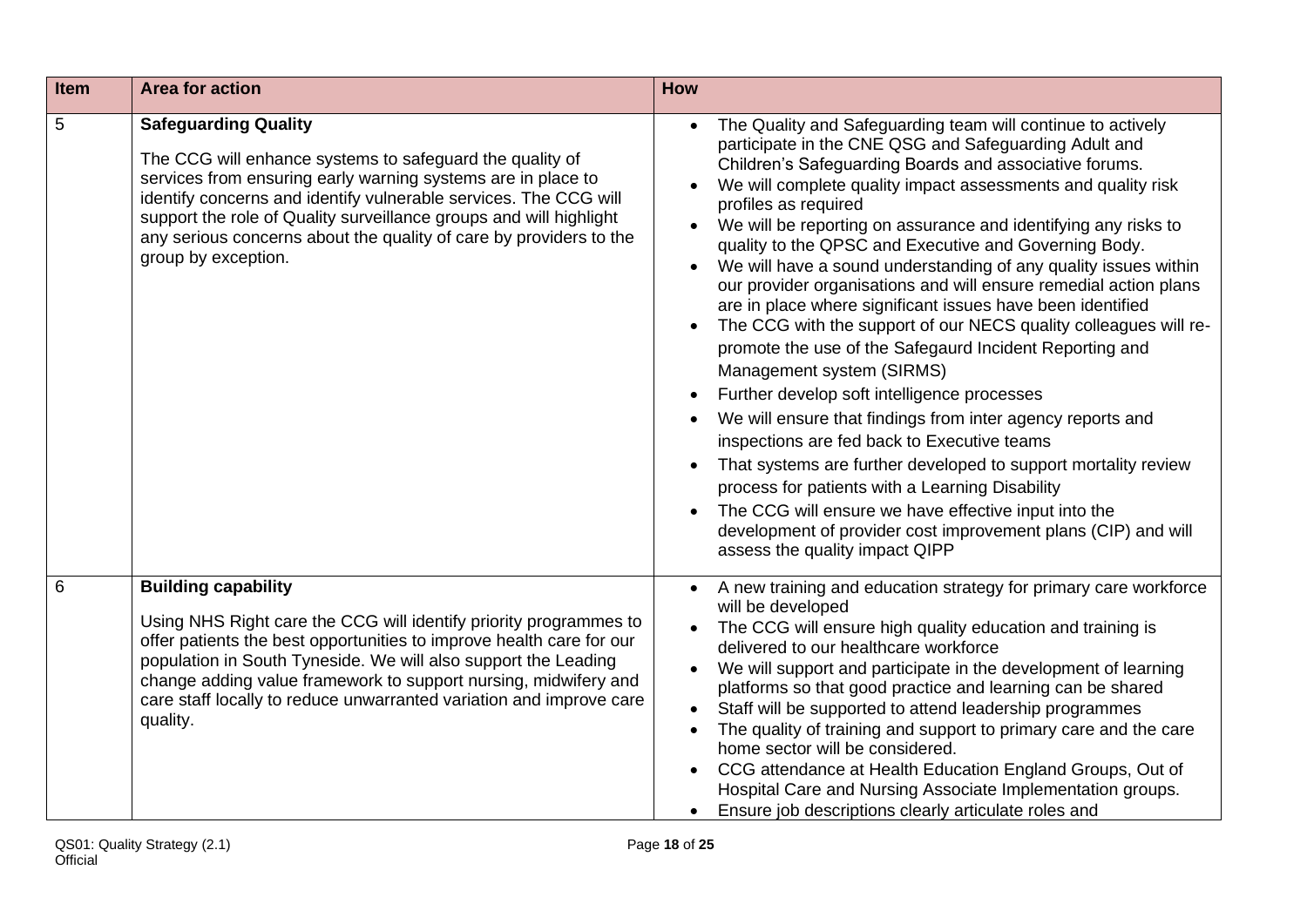| Item | <b>Area for action</b>                                                                                                                                                                                                                                                                                                                                                                          | How                                                                                                                                                                                                                                                                                                                                                                                                                                                                                                                                                                                                                                                                                                                                                                                                                                                                                                                                                                                                                                                                                                                                                                                                            |
|------|-------------------------------------------------------------------------------------------------------------------------------------------------------------------------------------------------------------------------------------------------------------------------------------------------------------------------------------------------------------------------------------------------|----------------------------------------------------------------------------------------------------------------------------------------------------------------------------------------------------------------------------------------------------------------------------------------------------------------------------------------------------------------------------------------------------------------------------------------------------------------------------------------------------------------------------------------------------------------------------------------------------------------------------------------------------------------------------------------------------------------------------------------------------------------------------------------------------------------------------------------------------------------------------------------------------------------------------------------------------------------------------------------------------------------------------------------------------------------------------------------------------------------------------------------------------------------------------------------------------------------|
| 5    | <b>Safeguarding Quality</b><br>The CCG will enhance systems to safeguard the quality of<br>services from ensuring early warning systems are in place to<br>identify concerns and identify vulnerable services. The CCG will<br>support the role of Quality surveillance groups and will highlight<br>any serious concerns about the quality of care by providers to the<br>group by exception.  | The Quality and Safeguarding team will continue to actively<br>participate in the CNE QSG and Safeguarding Adult and<br>Children's Safeguarding Boards and associative forums.<br>We will complete quality impact assessments and quality risk<br>profiles as required<br>We will be reporting on assurance and identifying any risks to<br>quality to the QPSC and Executive and Governing Body.<br>We will have a sound understanding of any quality issues within<br>our provider organisations and will ensure remedial action plans<br>are in place where significant issues have been identified<br>The CCG with the support of our NECS quality colleagues will re-<br>promote the use of the Safegaurd Incident Reporting and<br>Management system (SIRMS)<br>Further develop soft intelligence processes<br>We will ensure that findings from inter agency reports and<br>inspections are fed back to Executive teams<br>That systems are further developed to support mortality review<br>process for patients with a Learning Disability<br>The CCG will ensure we have effective input into the<br>development of provider cost improvement plans (CIP) and will<br>assess the quality impact QIPP |
| 6    | <b>Building capability</b><br>Using NHS Right care the CCG will identify priority programmes to<br>offer patients the best opportunities to improve health care for our<br>population in South Tyneside. We will also support the Leading<br>change adding value framework to support nursing, midwifery and<br>care staff locally to reduce unwarranted variation and improve care<br>quality. | A new training and education strategy for primary care workforce<br>$\bullet$<br>will be developed<br>The CCG will ensure high quality education and training is<br>delivered to our healthcare workforce<br>We will support and participate in the development of learning<br>platforms so that good practice and learning can be shared<br>Staff will be supported to attend leadership programmes<br>The quality of training and support to primary care and the care<br>$\bullet$<br>home sector will be considered.<br>CCG attendance at Health Education England Groups, Out of<br>Hospital Care and Nursing Associate Implementation groups.<br>Ensure job descriptions clearly articulate roles and                                                                                                                                                                                                                                                                                                                                                                                                                                                                                                    |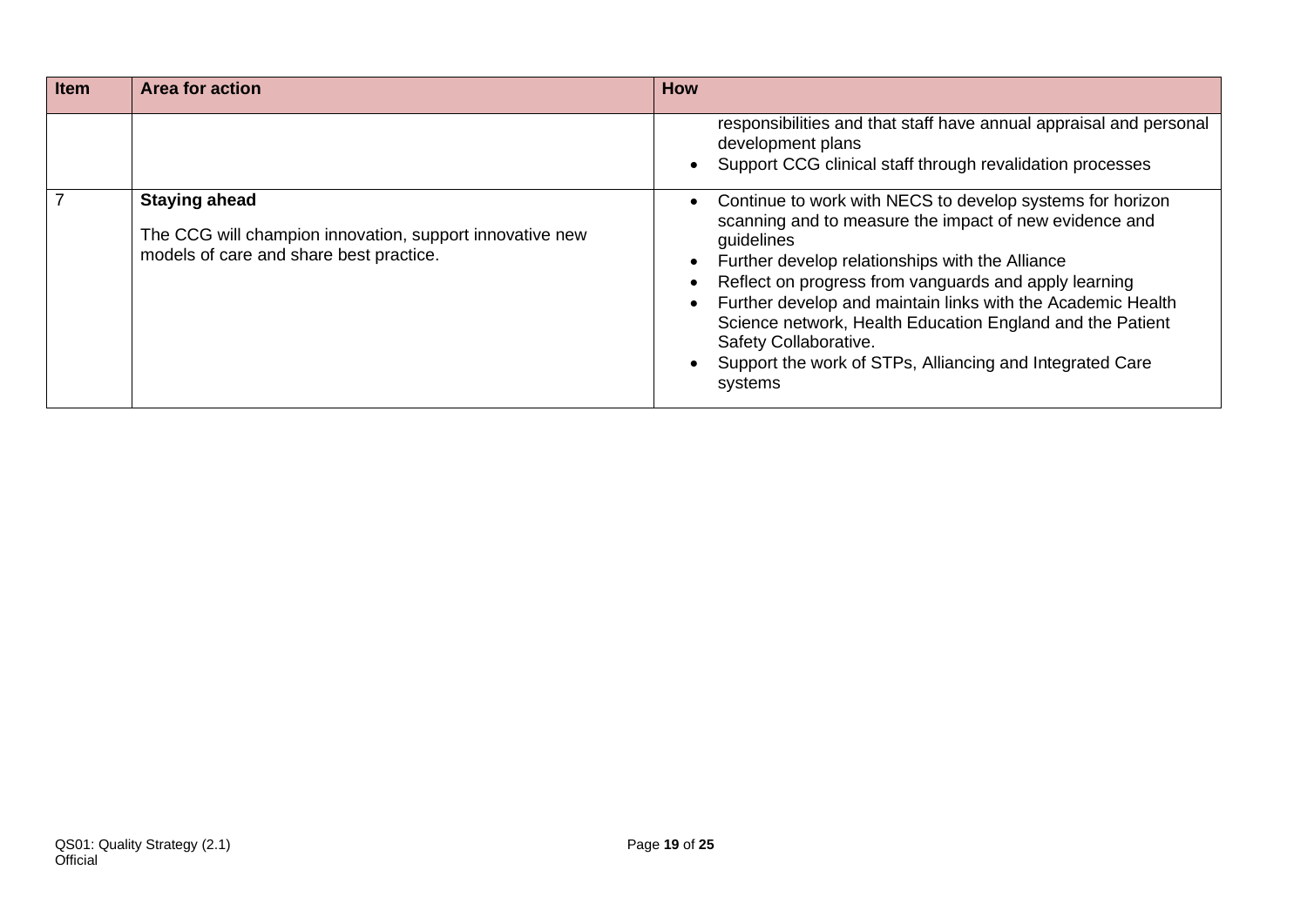| Item | Area for action                                                                                                             | <b>How</b>                                                                                                                                                                                                                                                                                                                                                                                                                                                                |
|------|-----------------------------------------------------------------------------------------------------------------------------|---------------------------------------------------------------------------------------------------------------------------------------------------------------------------------------------------------------------------------------------------------------------------------------------------------------------------------------------------------------------------------------------------------------------------------------------------------------------------|
|      |                                                                                                                             | responsibilities and that staff have annual appraisal and personal<br>development plans<br>Support CCG clinical staff through revalidation processes                                                                                                                                                                                                                                                                                                                      |
|      | <b>Staying ahead</b><br>The CCG will champion innovation, support innovative new<br>models of care and share best practice. | Continue to work with NECS to develop systems for horizon<br>scanning and to measure the impact of new evidence and<br>guidelines<br>Further develop relationships with the Alliance<br>Reflect on progress from vanguards and apply learning<br>Further develop and maintain links with the Academic Health<br>Science network, Health Education England and the Patient<br>Safety Collaborative.<br>Support the work of STPs, Alliancing and Integrated Care<br>systems |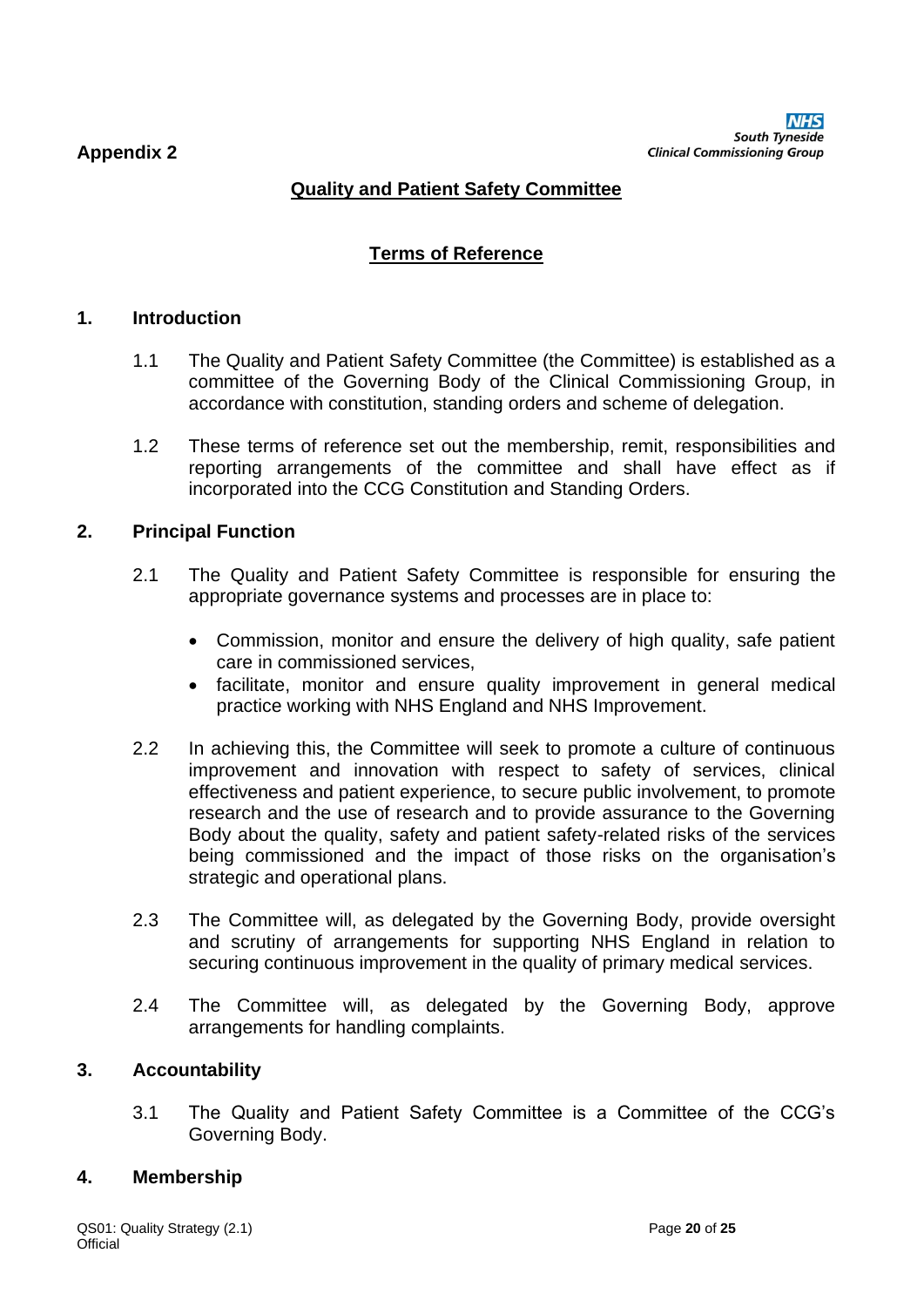# **Quality and Patient Safety Committee**

# **Terms of Reference**

#### **1. Introduction**

- 1.1 The Quality and Patient Safety Committee (the Committee) is established as a committee of the Governing Body of the Clinical Commissioning Group, in accordance with constitution, standing orders and scheme of delegation.
- 1.2 These terms of reference set out the membership, remit, responsibilities and reporting arrangements of the committee and shall have effect as if incorporated into the CCG Constitution and Standing Orders.

#### **2. Principal Function**

- 2.1 The Quality and Patient Safety Committee is responsible for ensuring the appropriate governance systems and processes are in place to:
	- Commission, monitor and ensure the delivery of high quality, safe patient care in commissioned services,
	- facilitate, monitor and ensure quality improvement in general medical practice working with NHS England and NHS Improvement.
- 2.2 In achieving this, the Committee will seek to promote a culture of continuous improvement and innovation with respect to safety of services, clinical effectiveness and patient experience, to secure public involvement, to promote research and the use of research and to provide assurance to the Governing Body about the quality, safety and patient safety-related risks of the services being commissioned and the impact of those risks on the organisation's strategic and operational plans.
- 2.3 The Committee will, as delegated by the Governing Body, provide oversight and scrutiny of arrangements for supporting NHS England in relation to securing continuous improvement in the quality of primary medical services.
- 2.4 The Committee will, as delegated by the Governing Body, approve arrangements for handling complaints.

#### **3. Accountability**

3.1 The Quality and Patient Safety Committee is a Committee of the CCG's Governing Body.

#### **4. Membership**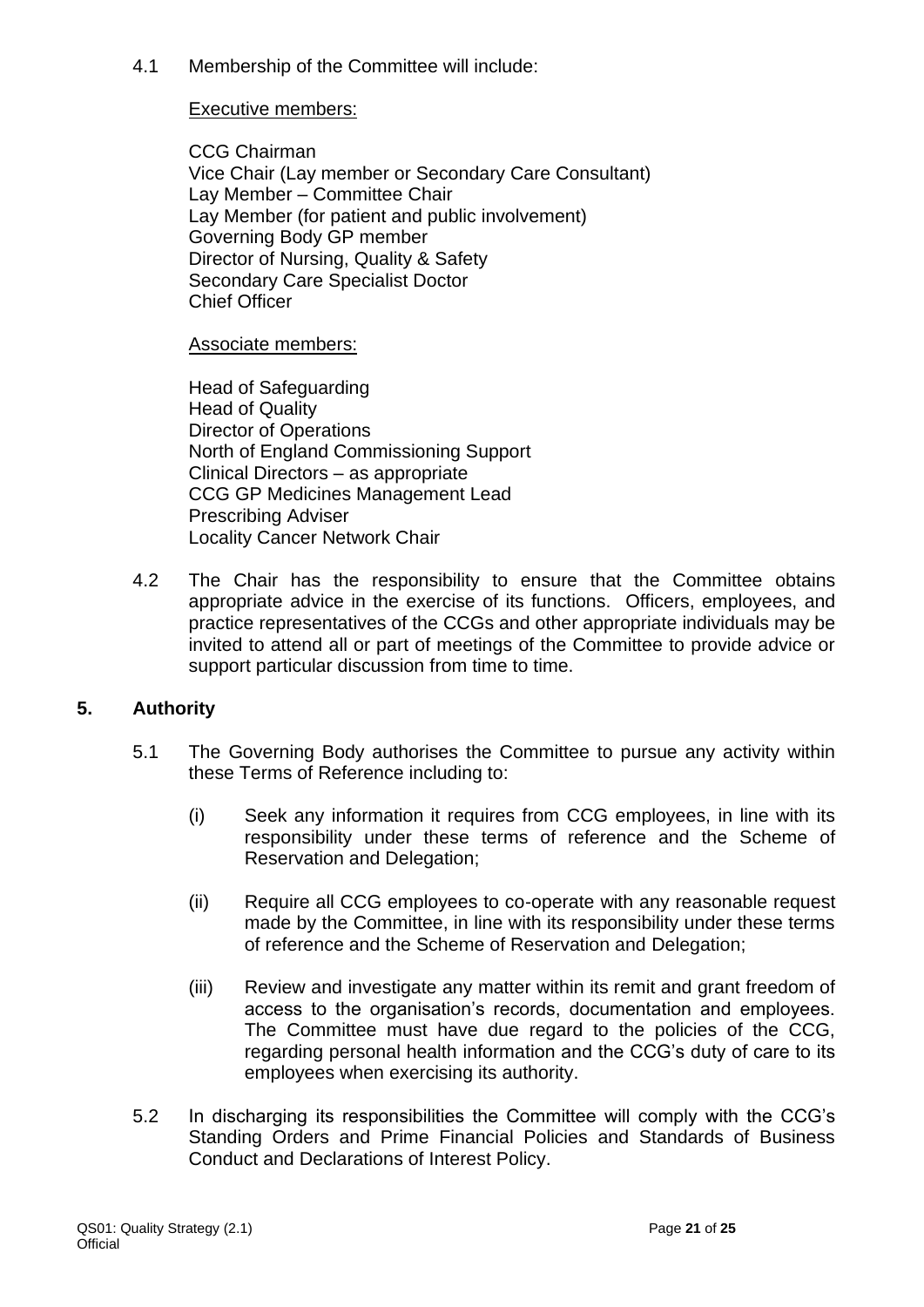4.1 Membership of the Committee will include:

#### Executive members:

CCG Chairman Vice Chair (Lay member or Secondary Care Consultant) Lay Member – Committee Chair Lay Member (for patient and public involvement) Governing Body GP member Director of Nursing, Quality & Safety Secondary Care Specialist Doctor Chief Officer

Associate members:

Head of Safeguarding Head of Quality Director of Operations North of England Commissioning Support Clinical Directors – as appropriate CCG GP Medicines Management Lead Prescribing Adviser Locality Cancer Network Chair

4.2 The Chair has the responsibility to ensure that the Committee obtains appropriate advice in the exercise of its functions. Officers, employees, and practice representatives of the CCGs and other appropriate individuals may be invited to attend all or part of meetings of the Committee to provide advice or support particular discussion from time to time.

#### **5. Authority**

- 5.1 The Governing Body authorises the Committee to pursue any activity within these Terms of Reference including to:
	- (i) Seek any information it requires from CCG employees, in line with its responsibility under these terms of reference and the Scheme of Reservation and Delegation;
	- (ii) Require all CCG employees to co-operate with any reasonable request made by the Committee, in line with its responsibility under these terms of reference and the Scheme of Reservation and Delegation;
	- (iii) Review and investigate any matter within its remit and grant freedom of access to the organisation's records, documentation and employees. The Committee must have due regard to the policies of the CCG, regarding personal health information and the CCG's duty of care to its employees when exercising its authority.
- 5.2 In discharging its responsibilities the Committee will comply with the CCG's Standing Orders and Prime Financial Policies and Standards of Business Conduct and Declarations of Interest Policy.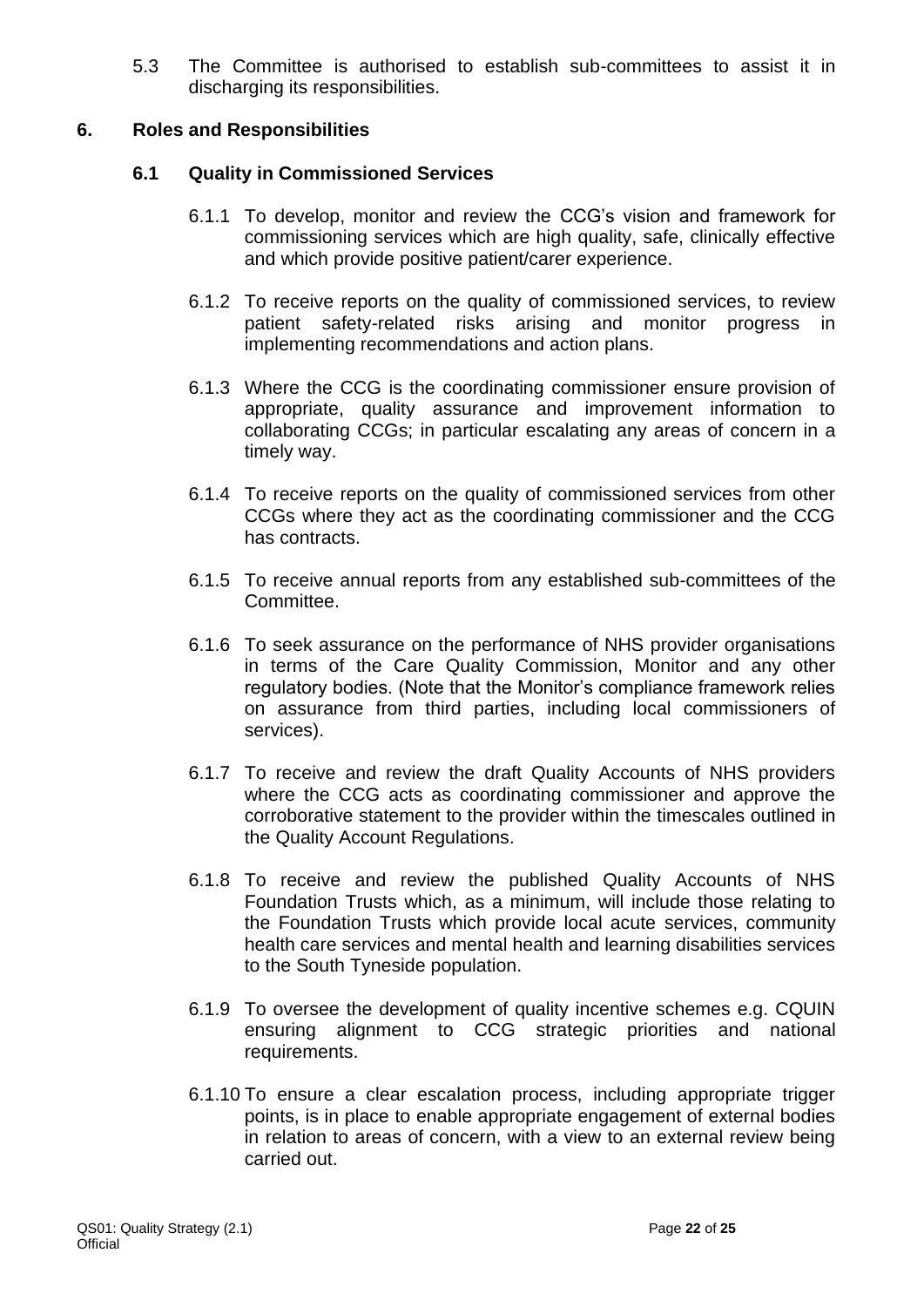5.3 The Committee is authorised to establish sub-committees to assist it in discharging its responsibilities.

#### **6. Roles and Responsibilities**

### **6.1 Quality in Commissioned Services**

- 6.1.1 To develop, monitor and review the CCG's vision and framework for commissioning services which are high quality, safe, clinically effective and which provide positive patient/carer experience.
- 6.1.2 To receive reports on the quality of commissioned services, to review patient safety-related risks arising and monitor progress in implementing recommendations and action plans.
- 6.1.3 Where the CCG is the coordinating commissioner ensure provision of appropriate, quality assurance and improvement information to collaborating CCGs; in particular escalating any areas of concern in a timely way.
- 6.1.4 To receive reports on the quality of commissioned services from other CCGs where they act as the coordinating commissioner and the CCG has contracts.
- 6.1.5 To receive annual reports from any established sub-committees of the Committee.
- 6.1.6 To seek assurance on the performance of NHS provider organisations in terms of the Care Quality Commission, Monitor and any other regulatory bodies. (Note that the Monitor's compliance framework relies on assurance from third parties, including local commissioners of services).
- 6.1.7 To receive and review the draft Quality Accounts of NHS providers where the CCG acts as coordinating commissioner and approve the corroborative statement to the provider within the timescales outlined in the Quality Account Regulations.
- 6.1.8 To receive and review the published Quality Accounts of NHS Foundation Trusts which, as a minimum, will include those relating to the Foundation Trusts which provide local acute services, community health care services and mental health and learning disabilities services to the South Tyneside population.
- 6.1.9 To oversee the development of quality incentive schemes e.g. CQUIN ensuring alignment to CCG strategic priorities and national requirements.
- 6.1.10 To ensure a clear escalation process, including appropriate trigger points, is in place to enable appropriate engagement of external bodies in relation to areas of concern, with a view to an external review being carried out.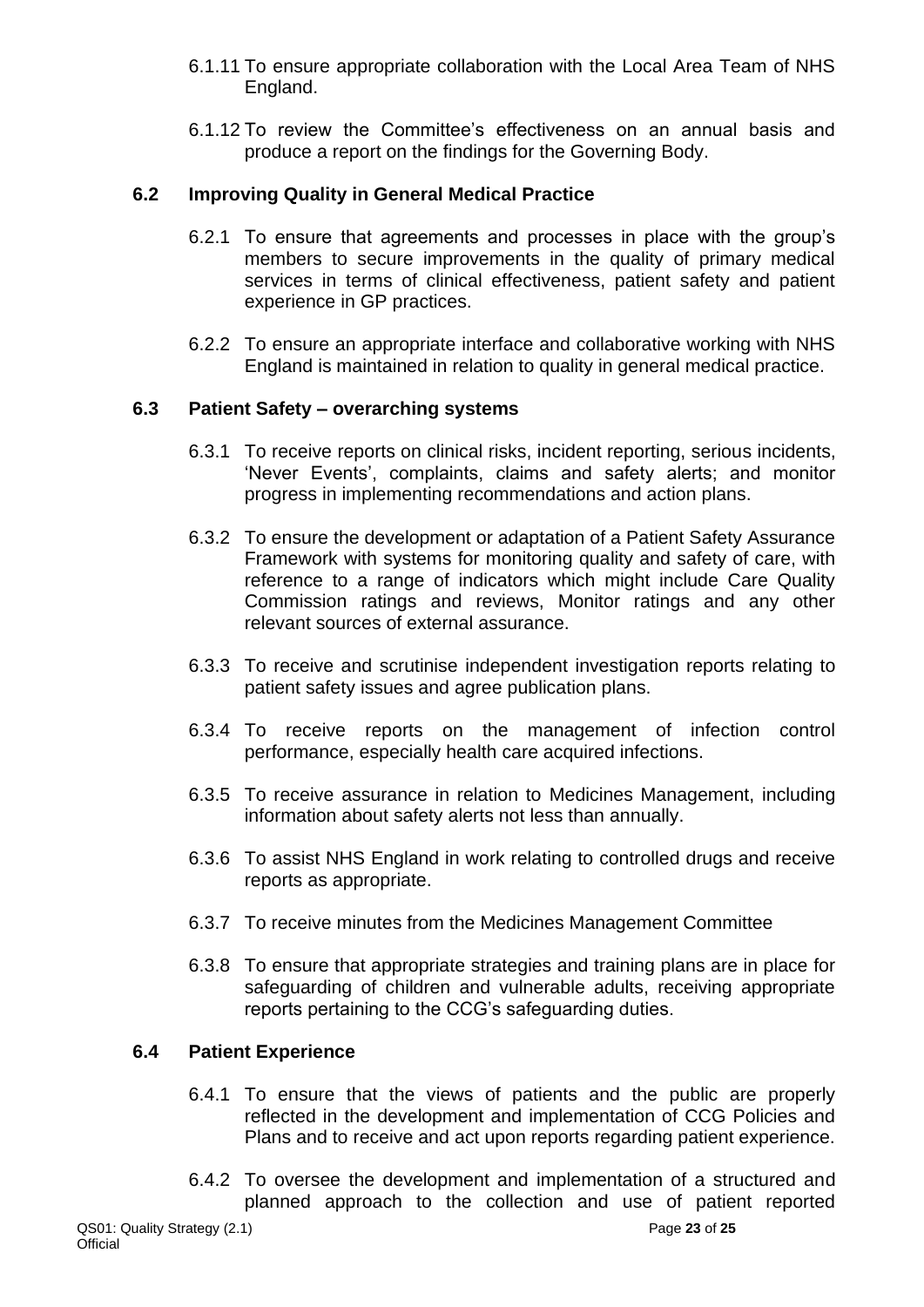- 6.1.11 To ensure appropriate collaboration with the Local Area Team of NHS England.
- 6.1.12 To review the Committee's effectiveness on an annual basis and produce a report on the findings for the Governing Body.

## **6.2 Improving Quality in General Medical Practice**

- 6.2.1 To ensure that agreements and processes in place with the group's members to secure improvements in the quality of primary medical services in terms of clinical effectiveness, patient safety and patient experience in GP practices.
- 6.2.2 To ensure an appropriate interface and collaborative working with NHS England is maintained in relation to quality in general medical practice.

## **6.3 Patient Safety – overarching systems**

- 6.3.1 To receive reports on clinical risks, incident reporting, serious incidents, 'Never Events', complaints, claims and safety alerts; and monitor progress in implementing recommendations and action plans.
- 6.3.2 To ensure the development or adaptation of a Patient Safety Assurance Framework with systems for monitoring quality and safety of care, with reference to a range of indicators which might include Care Quality Commission ratings and reviews, Monitor ratings and any other relevant sources of external assurance.
- 6.3.3 To receive and scrutinise independent investigation reports relating to patient safety issues and agree publication plans.
- 6.3.4 To receive reports on the management of infection control performance, especially health care acquired infections.
- 6.3.5 To receive assurance in relation to Medicines Management, including information about safety alerts not less than annually.
- 6.3.6 To assist NHS England in work relating to controlled drugs and receive reports as appropriate.
- 6.3.7 To receive minutes from the Medicines Management Committee
- 6.3.8 To ensure that appropriate strategies and training plans are in place for safeguarding of children and vulnerable adults, receiving appropriate reports pertaining to the CCG's safeguarding duties.

## **6.4 Patient Experience**

- 6.4.1 To ensure that the views of patients and the public are properly reflected in the development and implementation of CCG Policies and Plans and to receive and act upon reports regarding patient experience.
- 6.4.2 To oversee the development and implementation of a structured and planned approach to the collection and use of patient reported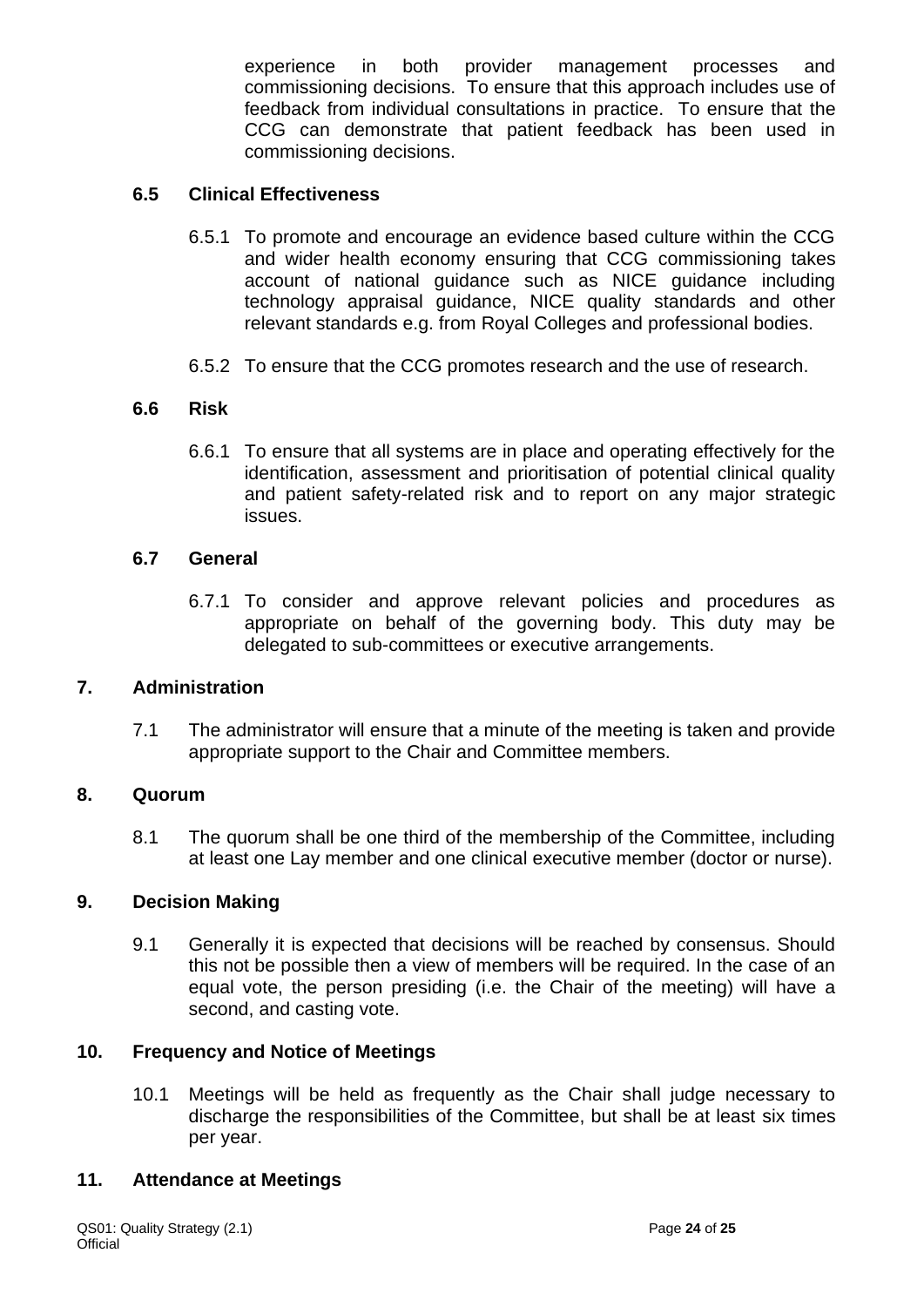experience in both provider management processes and commissioning decisions. To ensure that this approach includes use of feedback from individual consultations in practice. To ensure that the CCG can demonstrate that patient feedback has been used in commissioning decisions.

#### **6.5 Clinical Effectiveness**

- 6.5.1 To promote and encourage an evidence based culture within the CCG and wider health economy ensuring that CCG commissioning takes account of national guidance such as NICE guidance including technology appraisal guidance, NICE quality standards and other relevant standards e.g. from Royal Colleges and professional bodies.
- 6.5.2 To ensure that the CCG promotes research and the use of research.

#### **6.6 Risk**

6.6.1 To ensure that all systems are in place and operating effectively for the identification, assessment and prioritisation of potential clinical quality and patient safety-related risk and to report on any major strategic issues.

#### **6.7 General**

6.7.1 To consider and approve relevant policies and procedures as appropriate on behalf of the governing body. This duty may be delegated to sub-committees or executive arrangements.

#### **7. Administration**

7.1 The administrator will ensure that a minute of the meeting is taken and provide appropriate support to the Chair and Committee members.

#### **8. Quorum**

8.1 The quorum shall be one third of the membership of the Committee, including at least one Lay member and one clinical executive member (doctor or nurse).

#### **9. Decision Making**

9.1 Generally it is expected that decisions will be reached by consensus. Should this not be possible then a view of members will be required. In the case of an equal vote, the person presiding (i.e. the Chair of the meeting) will have a second, and casting vote.

#### **10. Frequency and Notice of Meetings**

10.1 Meetings will be held as frequently as the Chair shall judge necessary to discharge the responsibilities of the Committee, but shall be at least six times per year.

#### **11. Attendance at Meetings**